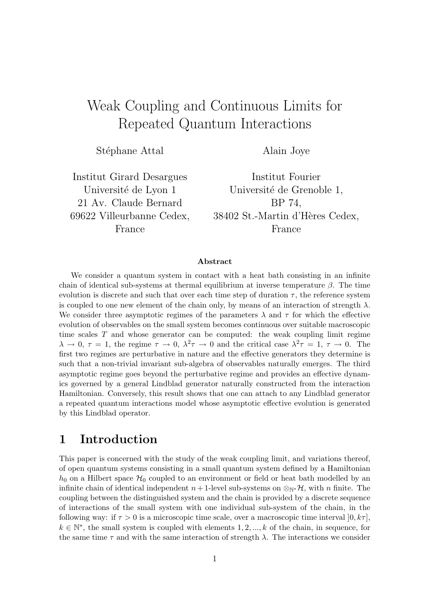# Weak Coupling and Continuous Limits for Repeated Quantum Interactions

Stéphane Attal

Alain Joye

Institut Girard Desargues Université de Lyon 1 21 Av. Claude Bernard 69622 Villeurbanne Cedex, France

Institut Fourier Université de Grenoble 1, BP 74, 38402 St.-Martin d'Hères Cedex, France

### Abstract

We consider a quantum system in contact with a heat bath consisting in an infinite chain of identical sub-systems at thermal equilibrium at inverse temperature  $\beta$ . The time evolution is discrete and such that over each time step of duration  $\tau$ , the reference system is coupled to one new element of the chain only, by means of an interaction of strength  $\lambda$ . We consider three asymptotic regimes of the parameters  $\lambda$  and  $\tau$  for which the effective evolution of observables on the small system becomes continuous over suitable macroscopic time scales  $T$  and whose generator can be computed: the weak coupling limit regime  $\lambda \to 0, \tau = 1$ , the regime  $\tau \to 0, \lambda^2 \tau \to 0$  and the critical case  $\lambda^2 \tau = 1, \tau \to 0$ . The first two regimes are perturbative in nature and the effective generators they determine is such that a non-trivial invariant sub-algebra of observables naturally emerges. The third asymptotic regime goes beyond the perturbative regime and provides an effective dynamics governed by a general Lindblad generator naturally constructed from the interaction Hamiltonian. Conversely, this result shows that one can attach to any Lindblad generator a repeated quantum interactions model whose asymptotic effective evolution is generated by this Lindblad operator.

## 1 Introduction

This paper is concerned with the study of the weak coupling limit, and variations thereof, of open quantum systems consisting in a small quantum system defined by a Hamiltonian  $h_0$  on a Hilbert space  $\mathcal{H}_0$  coupled to an environment or field or heat bath modelled by an infinite chain of identical independent  $n + 1$ -level sub-systems on ⊗<sub>N</sub>∗ $\mathcal{H}$ , with n finite. The coupling between the distinguished system and the chain is provided by a discrete sequence of interactions of the small system with one individual sub-system of the chain, in the following way: if  $\tau > 0$  is a microscopic time scale, over a macroscopic time interval  $[0, k\tau]$ ,  $k \in \mathbb{N}^*$ , the small system is coupled with elements 1, 2, ..., k of the chain, in sequence, for the same time  $\tau$  and with the same interaction of strength  $\lambda$ . The interactions we consider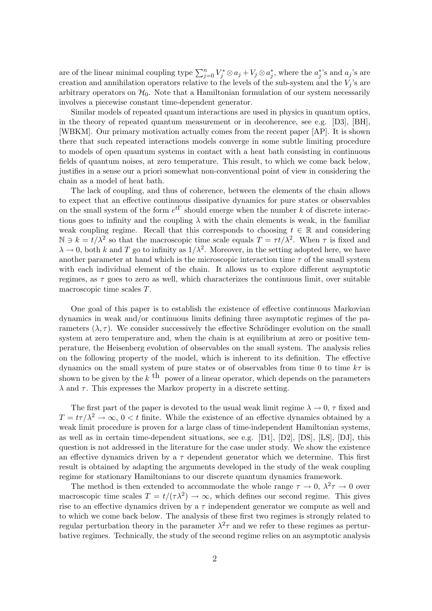are of the linear minimal coupling type  $\sum_{j=0}^{n} V_j^* \otimes a_j + V_j \otimes a_j^*$ , where the  $a_j^*$ 's and  $a_j$ 's are creation and annihilation operators relative to the levels of the sub-system and the  $V_j$ 's are arbitrary operators on  $\mathcal{H}_0$ . Note that a Hamiltonian formulation of our system necessarily involves a piecewise constant time-dependent generator.

Similar models of repeated quantum interactions are used in physics in quantum optics, in the theory of repeated quantum measurement or in decoherence, see e.g. [D3], [BH], [WBKM]. Our primary motivation actually comes from the recent paper [AP]. It is shown there that such repeated interactions models converge in some subtle limiting procedure to models of open quantum systems in contact with a heat bath consisting in continuous fields of quantum noises, at zero temperature. This result, to which we come back below, justifies in a sense our a priori somewhat non-conventional point of view in considering the chain as a model of heat bath.

The lack of coupling, and thus of coherence, between the elements of the chain allows to expect that an effective continuous dissipative dynamics for pure states or observables on the small system of the form  $e^{t\Gamma}$  should emerge when the number k of discrete interactions goes to infinity and the coupling  $\lambda$  with the chain elements is weak, in the familiar weak coupling regime. Recall that this corresponds to choosing  $t \in \mathbb{R}$  and considering  $\mathbb{N} \ni k = t/\lambda^2$  so that the macroscopic time scale equals  $T = \tau t/\lambda^2$ . When  $\tau$  is fixed and  $\lambda \to 0$ , both k and T go to infinity as  $1/\lambda^2$ . Moreover, in the setting adopted here, we have another parameter at hand which is the microscopic interaction time  $\tau$  of the small system with each individual element of the chain. It allows us to explore different asymptotic regimes, as  $\tau$  goes to zero as well, which characterizes the continuous limit, over suitable macroscopic time scales T.

One goal of this paper is to establish the existence of effective continuous Markovian dynamics in weak and/or continuous limits defining three asymptotic regimes of the parameters  $(\lambda, \tau)$ . We consider successively the effective Schrödinger evolution on the small system at zero temperature and, when the chain is at equilibrium at zero or positive temperature, the Heisenberg evolution of observables on the small system. The analysis relies on the following property of the model, which is inherent to its definition. The effective dynamics on the small system of pure states or of observables from time 0 to time  $k\tau$  is shown to be given by the  $k$ <sup>th</sup> power of a linear operator, which depends on the parameters  $\lambda$  and  $\tau$ . This expresses the Markov property in a discrete setting.

The first part of the paper is devoted to the usual weak limit regime  $\lambda \to 0$ ,  $\tau$  fixed and  $T = t\tau/\lambda^2 \to \infty$ ,  $0 < t$  finite. While the existence of an effective dynamics obtained by a weak limit procedure is proven for a large class of time-independent Hamiltonian systems, as well as in certain time-dependent situations, see e.g.  $[D1]$ ,  $[D2]$ ,  $[DS]$ ,  $[LS]$ ,  $[DJ]$ , this question is not addressed in the literature for the case under study. We show the existence an effective dynamics driven by a  $\tau$  dependent generator which we determine. This first result is obtained by adapting the arguments developed in the study of the weak coupling regime for stationary Hamiltonians to our discrete quantum dynamics framework.

The method is then extended to accommodate the whole range  $\tau \to 0$ ,  $\lambda^2 \tau \to 0$  over macroscopic time scales  $T = t/(\tau \lambda^2) \rightarrow \infty$ , which defines our second regime. This gives rise to an effective dynamics driven by a  $\tau$  independent generator we compute as well and to which we come back below. The analysis of these first two regimes is strongly related to regular perturbation theory in the parameter  $\lambda^2 \tau$  and we refer to these regimes as perturbative regimes. Technically, the study of the second regime relies on an asymptotic analysis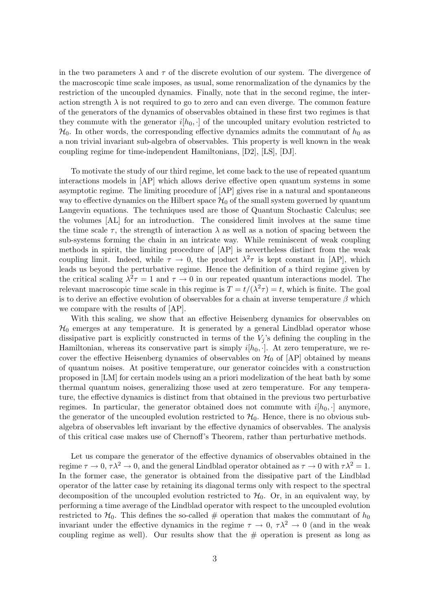in the two parameters  $\lambda$  and  $\tau$  of the discrete evolution of our system. The divergence of the macroscopic time scale imposes, as usual, some renormalization of the dynamics by the restriction of the uncoupled dynamics. Finally, note that in the second regime, the interaction strength  $\lambda$  is not required to go to zero and can even diverge. The common feature of the generators of the dynamics of observables obtained in these first two regimes is that they commute with the generator  $i[h_0, \cdot]$  of the uncoupled unitary evolution restricted to  $\mathcal{H}_0$ . In other words, the corresponding effective dynamics admits the commutant of  $h_0$  as a non trivial invariant sub-algebra of observables. This property is well known in the weak coupling regime for time-independent Hamiltonians, [D2], [LS], [DJ].

To motivate the study of our third regime, let come back to the use of repeated quantum interactions models in [AP] which allows derive effective open quantum systems in some asymptotic regime. The limiting procedure of [AP] gives rise in a natural and spontaneous way to effective dynamics on the Hilbert space  $\mathcal{H}_0$  of the small system governed by quantum Langevin equations. The techniques used are those of Quantum Stochastic Calculus; see the volumes [AL] for an introduction. The considered limit involves at the same time the time scale  $\tau$ , the strength of interaction  $\lambda$  as well as a notion of spacing between the sub-systems forming the chain in an intricate way. While reminiscent of weak coupling methods in spirit, the limiting procedure of [AP] is nevertheless distinct from the weak coupling limit. Indeed, while  $\tau \to 0$ , the product  $\lambda^2 \tau$  is kept constant in [AP], which leads us beyond the perturbative regime. Hence the definition of a third regime given by the critical scaling  $\lambda^2 \tau = 1$  and  $\tau \to 0$  in our repeated quantum interactions model. The relevant macroscopic time scale in this regime is  $T = t/(\lambda^2 \tau) = t$ , which is finite. The goal is to derive an effective evolution of observables for a chain at inverse temperature  $\beta$  which we compare with the results of [AP].

With this scaling, we show that an effective Heisenberg dynamics for observables on  $\mathcal{H}_0$  emerges at any temperature. It is generated by a general Lindblad operator whose dissipative part is explicitly constructed in terms of the  $V_j$ 's defining the coupling in the Hamiltonian, whereas its conservative part is simply  $i[h_0, \cdot]$ . At zero temperature, we recover the effective Heisenberg dynamics of observables on  $\mathcal{H}_0$  of  $[AP]$  obtained by means of quantum noises. At positive temperature, our generator coincides with a construction proposed in [LM] for certain models using an a priori modelization of the heat bath by some thermal quantum noises, generalizing those used at zero temperature. For any temperature, the effective dynamics is distinct from that obtained in the previous two perturbative regimes. In particular, the generator obtained does not commute with  $i[h_0, \cdot]$  anymore, the generator of the uncoupled evolution restricted to  $\mathcal{H}_0$ . Hence, there is no obvious subalgebra of observables left invariant by the effective dynamics of observables. The analysis of this critical case makes use of Chernoff's Theorem, rather than perturbative methods.

Let us compare the generator of the effective dynamics of observables obtained in the regime  $\tau \to 0$ ,  $\tau \lambda^2 \to 0$ , and the general Lindblad operator obtained as  $\tau \to 0$  with  $\tau \lambda^2 = 1$ . In the former case, the generator is obtained from the dissipative part of the Lindblad operator of the latter case by retaining its diagonal terms only with respect to the spectral decomposition of the uncoupled evolution restricted to  $\mathcal{H}_0$ . Or, in an equivalent way, by performing a time average of the Lindblad operator with respect to the uncoupled evolution restricted to  $\mathcal{H}_0$ . This defines the so-called # operation that makes the commutant of  $h_0$ invariant under the effective dynamics in the regime  $\tau \to 0$ ,  $\tau \lambda^2 \to 0$  (and in the weak coupling regime as well). Our results show that the  $\#$  operation is present as long as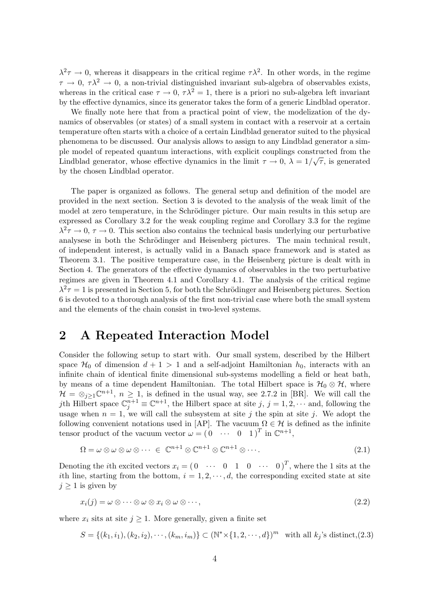$\lambda^2 \tau \to 0$ , whereas it disappears in the critical regime  $\tau \lambda^2$ . In other words, in the regime  $\tau \to 0$ ,  $\tau \lambda^2 \to 0$ , a non-trivial distinguished invariant sub-algebra of observables exists, whereas in the critical case  $\tau \to 0$ ,  $\tau \lambda^2 = 1$ , there is a priori no sub-algebra left invariant by the effective dynamics, since its generator takes the form of a generic Lindblad operator.

We finally note here that from a practical point of view, the modelization of the dynamics of observables (or states) of a small system in contact with a reservoir at a certain temperature often starts with a choice of a certain Lindblad generator suited to the physical phenomena to be discussed. Our analysis allows to assign to any Lindblad generator a simple model of repeated quantum interactions, with explicit couplings constructed from the  $\frac{1}{2}$ Lindblad generator, whose effective dynamics in the limit  $\tau \to 0$ ,  $\lambda = 1/\sqrt{\tau}$ , is generated by the chosen Lindblad operator.

The paper is organized as follows. The general setup and definition of the model are provided in the next section. Section 3 is devoted to the analysis of the weak limit of the model at zero temperature, in the Schrödinger picture. Our main results in this setup are expressed as Corollary 3.2 for the weak coupling regime and Corollary 3.3 for the regime  $\lambda^2 \tau \to 0$ ,  $\tau \to 0$ . This section also contains the technical basis underlying our perturbative analysese in both the Schrödinger and Heisenberg pictures. The main technical result, of independent interest, is actually valid in a Banach space framework and is stated as Theorem 3.1. The positive temperature case, in the Heisenberg picture is dealt with in Section 4. The generators of the effective dynamics of observables in the two perturbative regimes are given in Theorem 4.1 and Corollary 4.1. The analysis of the critical regime  $\lambda^2 \tau = 1$  is presented in Section 5, for both the Schrödinger and Heisenberg pictures. Section 6 is devoted to a thorough analysis of the first non-trivial case where both the small system and the elements of the chain consist in two-level systems.

## 2 A Repeated Interaction Model

Consider the following setup to start with. Our small system, described by the Hilbert space  $\mathcal{H}_0$  of dimension  $d+1 > 1$  and a self-adjoint Hamiltonian  $h_0$ , interacts with an infinite chain of identical finite dimensional sub-systems modelling a field or heat bath, by means of a time dependent Hamiltonian. The total Hilbert space is  $\mathcal{H}_0 \otimes \mathcal{H}$ , where  $\mathcal{H} = \otimes_{j\geq 1} \mathbb{C}^{n+1}$ ,  $n \geq 1$ , is defined in the usual way, see 2.7.2 in [BR]. We will call the jth Hilbert space  $\mathbb{C}_j^{n+1} \equiv \mathbb{C}^{n+1}$ , the Hilbert space at site  $j, j = 1, 2, \cdots$  and, following the usage when  $n = 1$ , we will call the subsystem at site j the spin at site j. We adopt the following convenient notations used in [AP]. The vacuum  $\Omega \in \mathcal{H}$  is defined as the infinite tensor product of the vacuum vector  $\omega = (0 \cdots 0 \ 1)^T$  in  $\mathbb{C}^{n+1}$ ,

$$
\Omega = \omega \otimes \omega \otimes \omega \otimes \cdots \in \mathbb{C}^{n+1} \otimes \mathbb{C}^{n+1} \otimes \mathbb{C}^{n+1} \otimes \cdots
$$
\n
$$
(2.1)
$$

Denoting the *i*th excited vectors  $x_i = (0 \cdots 0 \ 1 \ 0 \cdots 0)^T$ , where the 1 sits at the ith line, starting from the bottom,  $i = 1, 2, \dots, d$ , the corresponding excited state at site  $j \geq 1$  is given by

$$
x_i(j) = \omega \otimes \cdots \otimes \omega \otimes x_i \otimes \omega \otimes \cdots, \qquad (2.2)
$$

where  $x_i$  sits at site  $j \geq 1$ . More generally, given a finite set

$$
S = \{(k_1, i_1), (k_2, i_2), \cdots, (k_m, i_m)\} \subset (\mathbb{N}^* \times \{1, 2, \cdots, d\})^m \text{ with all } k_j \text{'s distinct, (2.3)}
$$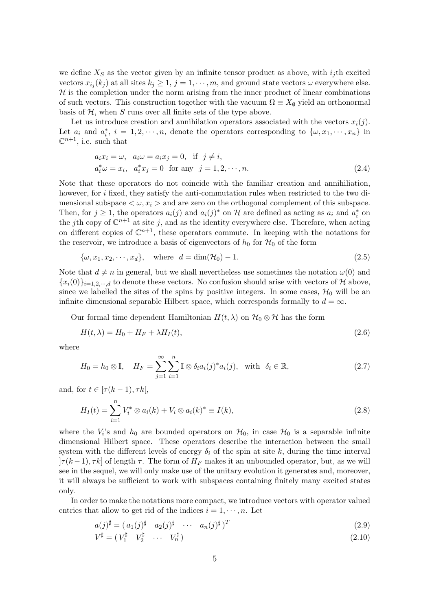we define  $X<sub>S</sub>$  as the vector given by an infinite tensor product as above, with  $i<sub>j</sub>$ th excited vectors  $x_{i_j}(k_j)$  at all sites  $k_j \geq 1$ ,  $j = 1, \dots, m$ , and ground state vectors  $\omega$  everywhere else.  $H$  is the completion under the norm arising from the inner product of linear combinations of such vectors. This construction together with the vacuum  $\Omega \equiv X_{\emptyset}$  yield an orthonormal basis of  $H$ , when S runs over all finite sets of the type above.

Let us introduce creation and annihilation operators associated with the vectors  $x_i(j)$ . Let  $a_i$  and  $a_i^*$ ,  $i = 1, 2, \dots, n$ , denote the operators corresponding to  $\{\omega, x_1, \dots, x_n\}$  in  $\mathbb{C}^{n+1}$ , i.e. such that

$$
a_i x_i = \omega, \quad a_i \omega = a_i x_j = 0, \quad \text{if} \quad j \neq i,
$$
  

$$
a_i^* \omega = x_i, \quad a_i^* x_j = 0 \quad \text{for any} \quad j = 1, 2, \cdots, n.
$$
 (2.4)

Note that these operators do not coincide with the familiar creation and annihiliation, however, for i fixed, they satisfy the anti-commutation rules when restricted to the two dimensional subspace  $\langle \omega, x_i \rangle$  and are zero on the orthogonal complement of this subspace. Then, for  $j \geq 1$ , the operators  $a_i(j)$  and  $a_i(j)^*$  on H are defined as acting as  $a_i$  and  $a_i^*$  on the jth copy of  $\mathbb{C}^{n+1}$  at site j, and as the identity everywhere else. Therefore, when acting on different copies of  $\mathbb{C}^{n+1}$ , these operators commute. In keeping with the notations for the reservoir, we introduce a basis of eigenvectors of  $h_0$  for  $\mathcal{H}_0$  of the form

$$
\{\omega, x_1, x_2, \cdots, x_d\}, \quad \text{where} \quad d = \dim(\mathcal{H}_0) - 1. \tag{2.5}
$$

Note that  $d \neq n$  in general, but we shall nevertheless use sometimes the notation  $\omega(0)$  and  ${x_i(0)}_{i=1,2,\dots,d}$  to denote these vectors. No confusion should arise with vectors of H above, since we labelled the sites of the spins by positive integers. In some cases,  $\mathcal{H}_0$  will be an infinite dimensional separable Hilbert space, which corresponds formally to  $d = \infty$ .

Our formal time dependent Hamiltonian  $H(t, \lambda)$  on  $\mathcal{H}_0 \otimes \mathcal{H}$  has the form

$$
H(t,\lambda) = H_0 + H_F + \lambda H_I(t),\tag{2.6}
$$

where

$$
H_0 = h_0 \otimes \mathbb{I}, \quad H_F = \sum_{j=1}^{\infty} \sum_{i=1}^{n} \mathbb{I} \otimes \delta_i a_i(j)^* a_i(j), \text{ with } \delta_i \in \mathbb{R}, \tag{2.7}
$$

and, for  $t \in [\tau(k-1), \tau k]$ ,

$$
H_I(t) = \sum_{i=1}^{n} V_i^* \otimes a_i(k) + V_i \otimes a_i(k)^* \equiv I(k), \qquad (2.8)
$$

where the  $V_i$ 's and  $h_0$  are bounded operators on  $\mathcal{H}_0$ , in case  $\mathcal{H}_0$  is a separable infinite dimensional Hilbert space. These operators describe the interaction between the small system with the different levels of energy  $\delta_i$  of the spin at site k, during the time interval  $|\tau(k-1), \tau k|$  of length  $\tau$ . The form of  $H_F$  makes it an unbounded operator, but, as we will see in the sequel, we will only make use of the unitary evolution it generates and, moreover, it will always be sufficient to work with subspaces containing finitely many excited states only.

In order to make the notations more compact, we introduce vectors with operator valued entries that allow to get rid of the indices  $i = 1, \dots, n$ . Let

$$
a(j)^{\sharp} = (a_1(j)^{\sharp} \quad a_2(j)^{\sharp} \quad \cdots \quad a_n(j)^{\sharp})^T
$$
\n
$$
(2.9)
$$

$$
V^{\sharp} = (V_1^{\sharp} \quad V_2^{\sharp} \quad \cdots \quad V_n^{\sharp}) \tag{2.10}
$$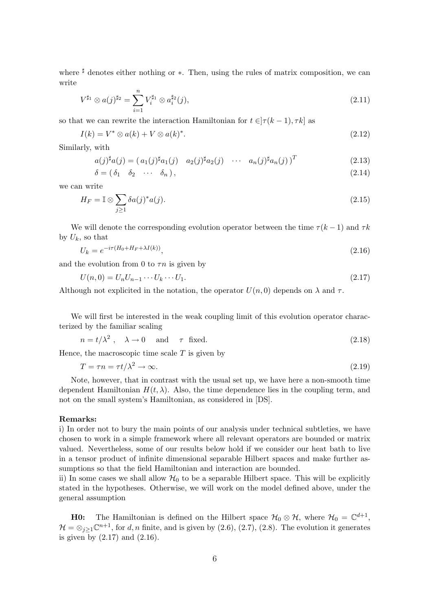where  $\sharp$  denotes either nothing or  $\ast$ . Then, using the rules of matrix composition, we can write

$$
V^{\sharp_1} \otimes a(j)^{\sharp_2} = \sum_{i=1}^n V_i^{\sharp_1} \otimes a_i^{\sharp_2}(j),\tag{2.11}
$$

so that we can rewrite the interaction Hamiltonian for  $t \in [\tau(k-1), \tau k]$  as

$$
I(k) = V^* \otimes a(k) + V \otimes a(k)^*.
$$
\n
$$
(2.12)
$$

Similarly, with

$$
a(j)^{\sharp}a(j) = (a_1(j)^{\sharp}a_1(j) \quad a_2(j)^{\sharp}a_2(j) \quad \cdots \quad a_n(j)^{\sharp}a_n(j))^T
$$
\n(2.13)

$$
\delta = (\delta_1 \quad \delta_2 \quad \cdots \quad \delta_n), \tag{2.14}
$$

we can write

$$
H_F = \mathbb{I} \otimes \sum_{j \ge 1} \delta a(j)^* a(j). \tag{2.15}
$$

We will denote the corresponding evolution operator between the time  $\tau(k-1)$  and  $\tau k$ by  $U_k$ , so that

$$
U_k = e^{-i\tau(H_0 + H_F + \lambda I(k))},\tag{2.16}
$$

and the evolution from 0 to  $\tau n$  is given by

$$
U(n,0) = U_n U_{n-1} \cdots U_k \cdots U_1.
$$
\n(2.17)

Although not explicited in the notation, the operator  $U(n, 0)$  depends on  $\lambda$  and  $\tau$ .

We will first be interested in the weak coupling limit of this evolution operator characterized by the familiar scaling

$$
n = t/\lambda^2 , \quad \lambda \to 0 \quad \text{and} \quad \tau \text{ fixed.} \tag{2.18}
$$

Hence, the macroscopic time scale  $T$  is given by

$$
T = \tau n = \tau t / \lambda^2 \to \infty. \tag{2.19}
$$

Note, however, that in contrast with the usual set up, we have here a non-smooth time dependent Hamiltonian  $H(t, \lambda)$ . Also, the time dependence lies in the coupling term, and not on the small system's Hamiltonian, as considered in [DS].

### Remarks:

i) In order not to bury the main points of our analysis under technical subtleties, we have chosen to work in a simple framework where all relevant operators are bounded or matrix valued. Nevertheless, some of our results below hold if we consider our heat bath to live in a tensor product of infinite dimensional separable Hilbert spaces and make further assumptions so that the field Hamiltonian and interaction are bounded.

ii) In some cases we shall allow  $\mathcal{H}_0$  to be a separable Hilbert space. This will be explicitly stated in the hypotheses. Otherwise, we will work on the model defined above, under the general assumption

**H0:** The Hamiltonian is defined on the Hilbert space  $\mathcal{H}_0 \otimes \mathcal{H}$ , where  $\mathcal{H}_0 = \mathbb{C}^{d+1}$ ,  $\mathcal{H} = \otimes_{j\geq 1} \mathbb{C}^{n+1}$ , for d, n finite, and is given by  $(2.6)$ ,  $(2.7)$ ,  $(2.8)$ . The evolution it generates is given by  $(2.17)$  and  $(2.16)$ .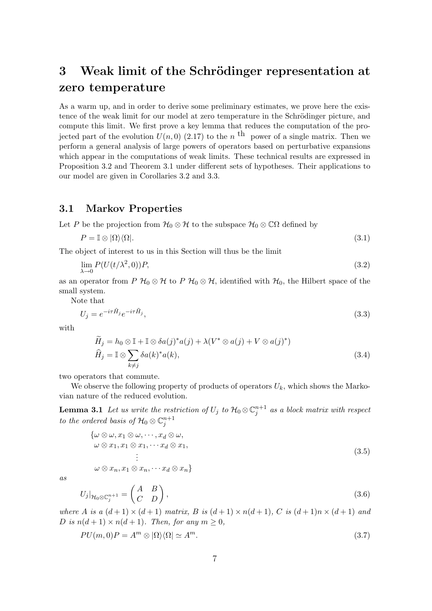# 3 Weak limit of the Schrödinger representation at zero temperature

As a warm up, and in order to derive some preliminary estimates, we prove here the existence of the weak limit for our model at zero temperature in the Schrödinger picture, and compute this limit. We first prove a key lemma that reduces the computation of the projected part of the evolution  $U(n,0)$  (2.17) to the n<sup>th</sup> power of a single matrix. Then we perform a general analysis of large powers of operators based on perturbative expansions which appear in the computations of weak limits. These technical results are expressed in Proposition 3.2 and Theorem 3.1 under different sets of hypotheses. Their applications to our model are given in Corollaries 3.2 and 3.3.

### 3.1 Markov Properties

Let P be the projection from  $\mathcal{H}_0 \otimes \mathcal{H}$  to the subspace  $\mathcal{H}_0 \otimes \mathbb{C}\Omega$  defined by

$$
P = \mathbb{I} \otimes |\Omega\rangle\langle\Omega|.\tag{3.1}
$$

The object of interest to us in this Section will thus be the limit

$$
\lim_{\lambda \to 0} P(U(t/\lambda^2, 0))P,\tag{3.2}
$$

as an operator from P  $\mathcal{H}_0 \otimes \mathcal{H}$  to P  $\mathcal{H}_0 \otimes \mathcal{H}$ , identified with  $\mathcal{H}_0$ , the Hilbert space of the small system.

Note that

$$
U_j = e^{-i\tau \hat{H}_j} e^{-i\tau \tilde{H}_j},\tag{3.3}
$$

with

$$
\widetilde{H}_j = h_0 \otimes \mathbb{I} + \mathbb{I} \otimes \delta a(j)^* a(j) + \lambda (V^* \otimes a(j) + V \otimes a(j)^*)
$$
  

$$
\widehat{H}_j = \mathbb{I} \otimes \sum_{k \neq j} \delta a(k)^* a(k),
$$
\n(3.4)

two operators that commute.

We observe the following property of products of operators  $U_k$ , which shows the Markovian nature of the reduced evolution.

**Lemma 3.1** Let us write the restriction of  $U_j$  to  $\mathcal{H}_0 \otimes \mathbb{C}_j^{n+1}$  as a block matrix with respect to the ordered basis of  $\mathcal{H}_0 \otimes \mathbb{C}_j^{n+1}$ 

$$
\{\omega \otimes \omega, x_1 \otimes \omega, \cdots, x_d \otimes \omega, \omega \otimes x_1, x_1 \otimes x_1, \cdots x_d \otimes x_1, \vdots \omega \otimes x_n, x_1 \otimes x_n, \cdots x_d \otimes x_n\}
$$
\n(3.5)

as

$$
U_j|_{\mathcal{H}_0 \otimes \mathbb{C}_j^{n+1}} = \begin{pmatrix} A & B \\ C & D \end{pmatrix},\tag{3.6}
$$

where A is a  $(d+1) \times (d+1)$  matrix, B is  $(d+1) \times n(d+1)$ , C is  $(d+1)n \times (d+1)$  and D is  $n(d+1) \times n(d+1)$ . Then, for any  $m \geq 0$ ,

$$
PU(m,0)P = A^m \otimes |\Omega\rangle\langle\Omega| \simeq A^m. \tag{3.7}
$$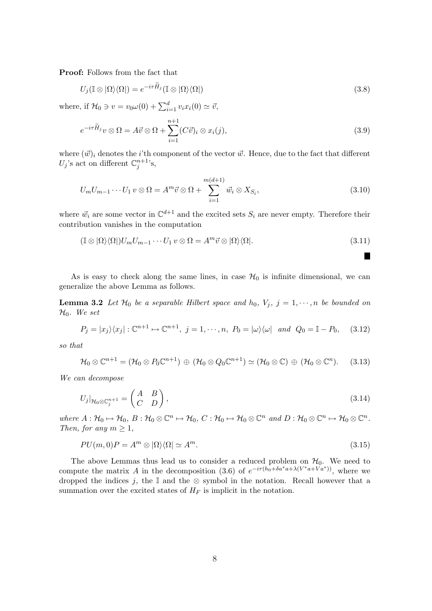Proof: Follows from the fact that

$$
U_j(\mathbb{I} \otimes |\Omega\rangle\langle\Omega|) = e^{-i\tau \tilde{H}_j}(\mathbb{I} \otimes |\Omega\rangle\langle\Omega|)
$$
\n(3.8)

where, if  $\mathcal{H}_0 \ni v = v_0 \omega(0) + \sum_{i=1}^d v_i x_i(0) \simeq \vec{v}$ ,

$$
e^{-i\tau \widetilde{H}_j} v \otimes \Omega = A \vec{v} \otimes \Omega + \sum_{i=1}^{n+1} (C\vec{v})_i \otimes x_i(j), \tag{3.9}
$$

where  $(\vec{w})_i$  denotes the *i*'th component of the vector  $\vec{w}$ . Hence, due to the fact that different  $U_j$ 's act on different  $\mathbb{C}^{n+1}_j$ 's,

$$
U_m U_{m-1} \cdots U_1 v \otimes \Omega = A^m \vec{v} \otimes \Omega + \sum_{i=1}^{m(d+1)} \vec{w}_i \otimes X_{S_i}, \qquad (3.10)
$$

where  $\vec{w}_i$  are some vector in  $\mathbb{C}^{d+1}$  and the excited sets  $S_i$  are never empty. Therefore their contribution vanishes in the computation

$$
(\mathbb{I} \otimes |\Omega\rangle\langle\Omega|)U_m U_{m-1} \cdots U_1 v \otimes \Omega = A^m \vec{v} \otimes |\Omega\rangle\langle\Omega|.
$$
\n(3.11)

H

As is easy to check along the same lines, in case  $\mathcal{H}_0$  is infinite dimensional, we can generalize the above Lemma as follows.

**Lemma 3.2** Let  $\mathcal{H}_0$  be a separable Hilbert space and  $h_0$ ,  $V_j$ ,  $j = 1, \dots, n$  be bounded on  $\mathcal{H}_0$ . We set

$$
P_j = |x_j\rangle\langle x_j|: \mathbb{C}^{n+1} \mapsto \mathbb{C}^{n+1}, \ j = 1, \cdots, n, \ P_0 = |\omega\rangle\langle\omega| \ \text{and} \ Q_0 = \mathbb{I} - P_0, \tag{3.12}
$$

so that

$$
\mathcal{H}_0\otimes \mathbb{C}^{n+1}=(\mathcal{H}_0\otimes P_0\mathbb{C}^{n+1})\,\oplus\,(\mathcal{H}_0\otimes Q_0\mathbb{C}^{n+1})\simeq (\mathcal{H}_0\otimes \mathbb{C})\,\oplus\,(\mathcal{H}_0\otimes \mathbb{C}^n). \tag{3.13}
$$

We can decompose

$$
U_j|_{\mathcal{H}_0 \otimes \mathbb{C}_j^{n+1}} = \begin{pmatrix} A & B \\ C & D \end{pmatrix},\tag{3.14}
$$

where  $A: \mathcal{H}_0 \mapsto \mathcal{H}_0, B: \mathcal{H}_0 \otimes \mathbb{C}^n \mapsto \mathcal{H}_0, C: \mathcal{H}_0 \mapsto \mathcal{H}_0 \otimes \mathbb{C}^n$  and  $D: \mathcal{H}_0 \otimes \mathbb{C}^n \mapsto \mathcal{H}_0 \otimes \mathbb{C}^n$ . Then, for any  $m \geq 1$ ,

$$
PU(m,0)P = A^m \otimes |\Omega\rangle\langle\Omega| \simeq A^m. \tag{3.15}
$$

The above Lemmas thus lead us to consider a reduced problem on  $H_0$ . We need to compute the matrix A in the decomposition (3.6) of  $e^{-i\tau(h_0+\delta a^*a+\lambda(V^*a+Va^*))}$ , where we dropped the indices j, the  $\mathbb I$  and the ⊗ symbol in the notation. Recall however that a summation over the excited states of  $H_F$  is implicit in the notation.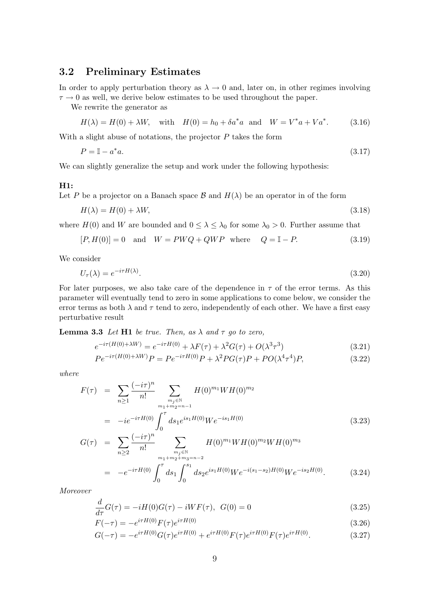## 3.2 Preliminary Estimates

In order to apply perturbation theory as  $\lambda \to 0$  and, later on, in other regimes involving  $\tau \rightarrow 0$  as well, we derive below estimates to be used throughout the paper.

We rewrite the generator as

$$
H(\lambda) = H(0) + \lambda W, \text{ with } H(0) = h_0 + \delta a^* a \text{ and } W = V^* a + V a^*.
$$
 (3.16)

With a slight abuse of notations, the projector  $P$  takes the form

$$
P = \mathbb{I} - a^*a. \tag{3.17}
$$

We can slightly generalize the setup and work under the following hypothesis:

### H1:

Let P be a projector on a Banach space  $\beta$  and  $H(\lambda)$  be an operator in of the form

$$
H(\lambda) = H(0) + \lambda W,\tag{3.18}
$$

where  $H(0)$  and W are bounded and  $0 \leq \lambda \leq \lambda_0$  for some  $\lambda_0 > 0$ . Further assume that

$$
[P, H(0)] = 0 \quad \text{and} \quad W = PWQ + QWP \quad \text{where} \quad Q = \mathbb{I} - P. \tag{3.19}
$$

We consider

$$
U_{\tau}(\lambda) = e^{-i\tau H(\lambda)}.\tag{3.20}
$$

For later purposes, we also take care of the dependence in  $\tau$  of the error terms. As this parameter will eventually tend to zero in some applications to come below, we consider the error terms as both  $\lambda$  and  $\tau$  tend to zero, independently of each other. We have a first easy perturbative result

**Lemma 3.3** Let H1 be true. Then, as  $\lambda$  and  $\tau$  go to zero,

$$
e^{-i\tau(H(0)+\lambda W)} = e^{-i\tau H(0)} + \lambda F(\tau) + \lambda^2 G(\tau) + O(\lambda^3 \tau^3)
$$
\n(3.21)

$$
Pe^{-i\tau(H(0)+\lambda W)}P = Pe^{-i\tau H(0)}P + \lambda^2 PG(\tau)P + PO(\lambda^4 \tau^4)P,
$$
\n(3.22)

where

$$
F(\tau) = \sum_{n\geq 1} \frac{(-i\tau)^n}{n!} \sum_{\substack{m_j \in \mathbb{N} \\ m_1 + m_2 = n - 1}} H(0)^{m_1} W H(0)^{m_2}
$$
  
=  $-ie^{-i\tau H(0)} \int_0^{\tau} ds_1 e^{is_1 H(0)} W e^{-is_1 H(0)}$  (3.23)

$$
G(\tau) = \sum_{n\geq 2} \frac{(-i\tau)^n}{n!} \sum_{\substack{m_j \in \mathbb{N} \\ m_1 + m_2 + m_3 = n - 2}} H(0)^{m_1} W H(0)^{m_2} W H(0)^{m_3}
$$
  
= 
$$
-e^{-i\tau H(0)} \int_0^{\tau} ds_1 \int_0^{s_1} ds_2 e^{is_1 H(0)} W e^{-i(s_1 - s_2)H(0)} W e^{-is_2 H(0)}.
$$
 (3.24)

Moreover

$$
\frac{d}{d\tau}G(\tau) = -iH(0)G(\tau) - iWF(\tau), \ \ G(0) = 0 \tag{3.25}
$$

$$
F(-\tau) = -e^{i\tau H(0)} F(\tau) e^{i\tau H(0)}
$$
\n(3.26)

$$
G(-\tau) = -e^{i\tau H(0)} G(\tau) e^{i\tau H(0)} + e^{i\tau H(0)} F(\tau) e^{i\tau H(0)} F(\tau) e^{i\tau H(0)}.
$$
\n(3.27)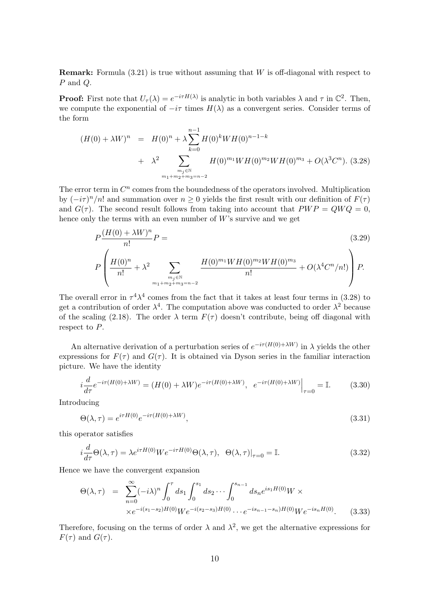**Remark:** Formula  $(3.21)$  is true without assuming that W is off-diagonal with respect to P and Q.

**Proof:** First note that  $U_{\tau}(\lambda) = e^{-i\tau H(\lambda)}$  is analytic in both variables  $\lambda$  and  $\tau$  in  $\mathbb{C}^2$ . Then, we compute the exponential of  $-i\tau$  times  $H(\lambda)$  as a convergent series. Consider terms of the form

$$
(H(0) + \lambda W)^n = H(0)^n + \lambda \sum_{k=0}^{n-1} H(0)^k WH(0)^{n-1-k}
$$
  
+  $\lambda^2 \sum_{\substack{m_j \in \mathbb{N} \\ m_1 + m_2 + m_3 = n-2}} H(0)^{m_1} WH(0)^{m_2} WH(0)^{m_3} + O(\lambda^3 C^n)$ . (3.28)

The error term in  $C<sup>n</sup>$  comes from the boundedness of the operators involved. Multiplication by  $(-i\tau)^n/n!$  and summation over  $n \geq 0$  yields the first result with our definition of  $F(\tau)$ and  $G(\tau)$ . The second result follows from taking into account that  $PWP = QWQ = 0$ , hence only the terms with an even number of  $W$ 's survive and we get

$$
P\frac{(H(0) + \lambda W)^n}{n!}P =
$$
\n
$$
P\left(\frac{H(0)^n}{n!} + \lambda^2 \sum_{\substack{m_j \in \mathbb{N} \\ m_1 + m_2 + m_3 = n-2}} \frac{H(0)^{m_1}WH(0)^{m_2}WH(0)^{m_3}}{n!} + O(\lambda^4 C^n/n!) \right)P.
$$
\n(3.29)

The overall error in  $\tau^4 \lambda^4$  comes from the fact that it takes at least four terms in (3.28) to get a contribution of order  $\lambda^4$ . The computation above was conducted to order  $\lambda^2$  because of the scaling (2.18). The order  $\lambda$  term  $F(\tau)$  doesn't contribute, being off diagonal with respect to P.

An alternative derivation of a perturbation series of  $e^{-i\tau(H(0)+\lambda W)}$  in  $\lambda$  yields the other expressions for  $F(\tau)$  and  $G(\tau)$ . It is obtained via Dyson series in the familiar interaction picture. We have the identity

$$
i\frac{d}{d\tau}e^{-i\tau(H(0)+\lambda W)} = (H(0)+\lambda W)e^{-i\tau(H(0)+\lambda W)}, e^{-i\tau(H(0)+\lambda W)}\Big|_{\tau=0} = \mathbb{I}.
$$
 (3.30)

Introducing

$$
\Theta(\lambda, \tau) = e^{i\tau H(0)} e^{-i\tau (H(0) + \lambda W)},\tag{3.31}
$$

this operator satisfies

$$
i\frac{d}{d\tau}\Theta(\lambda,\tau) = \lambda e^{i\tau H(0)}We^{-i\tau H(0)}\Theta(\lambda,\tau), \ \ \Theta(\lambda,\tau)|_{\tau=0} = \mathbb{I}.\tag{3.32}
$$

Hence we have the convergent expansion

$$
\Theta(\lambda, \tau) = \sum_{n=0}^{\infty} (-i\lambda)^n \int_0^{\tau} ds_1 \int_0^{s_1} ds_2 \cdots \int_0^{s_{n-1}} ds_n e^{is_1 H(0)} W \times
$$
  
 
$$
\times e^{-i(s_1 - s_2)H(0)} We^{-i(s_2 - s_3)H(0)} \cdots e^{-is_{n-1} - s_n)H(0)} We^{-is_n H(0)}.
$$
 (3.33)

Therefore, focusing on the terms of order  $\lambda$  and  $\lambda^2$ , we get the alternative expressions for  $F(\tau)$  and  $G(\tau)$ .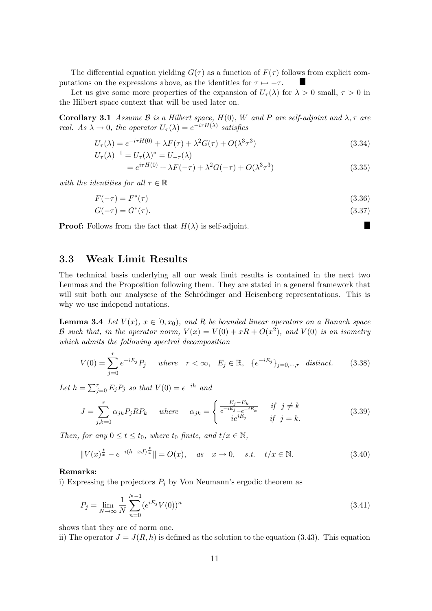The differential equation yielding  $G(\tau)$  as a function of  $F(\tau)$  follows from explicit computations on the expressions above, as the identities for  $\tau \mapsto -\tau$ . a s

Let us give some more properties of the expansion of  $U_{\tau}(\lambda)$  for  $\lambda > 0$  small,  $\tau > 0$  in the Hilbert space context that will be used later on.

Corollary 3.1 Assume B is a Hilbert space,  $H(0)$ , W and P are self-adjoint and  $\lambda$ ,  $\tau$  are real. As  $\lambda \to 0$ , the operator  $U_{\tau}(\lambda) = e^{-i\tau H(\lambda)}$  satisfies

$$
U_{\tau}(\lambda) = e^{-i\tau H(0)} + \lambda F(\tau) + \lambda^2 G(\tau) + O(\lambda^3 \tau^3)
$$
\n(3.34)

$$
U_{\tau}(\lambda)^{-1} = U_{\tau}(\lambda)^{*} = U_{-\tau}(\lambda)
$$
  
=  $e^{i\tau H(0)} + \lambda F(-\tau) + \lambda^{2} G(-\tau) + O(\lambda^{3} \tau^{3})$  (3.35)

with the identities for all  $\tau \in \mathbb{R}$ 

$$
F(-\tau) = F^*(\tau) \tag{3.36}
$$

$$
G(-\tau) = G^*(\tau). \tag{3.37}
$$

П

**Proof:** Follows from the fact that  $H(\lambda)$  is self-adjoint.

### 3.3 Weak Limit Results

The technical basis underlying all our weak limit results is contained in the next two Lemmas and the Proposition following them. They are stated in a general framework that will suit both our analysese of the Schrödinger and Heisenberg representations. This is why we use independ notations.

**Lemma 3.4** Let  $V(x)$ ,  $x \in [0, x_0)$ , and R be bounded linear operators on a Banach space B such that, in the operator norm,  $V(x) = V(0) + xR + O(x^2)$ , and  $V(0)$  is an isometry which admits the following spectral decomposition

$$
V(0) = \sum_{j=0}^{r} e^{-iE_j} P_j \quad where \quad r < \infty, \quad E_j \in \mathbb{R}, \quad \{e^{-iE_j}\}_{j=0,\dots,r} \quad distinct. \tag{3.38}
$$

Let  $h = \sum_{j=0}^{r} E_j P_j$  so that  $V(0) = e^{-ih}$  and

$$
J = \sum_{j,k=0}^{r} \alpha_{jk} P_j R P_k \quad \text{where} \quad \alpha_{jk} = \begin{cases} \frac{E_j - E_k}{e^{-iE_j} - e^{-iE_k}} & \text{if } j \neq k\\ i e^{iE_j} & \text{if } j = k. \end{cases} \tag{3.39}
$$

Then, for any  $0 \le t \le t_0$ , where  $t_0$  finite, and  $t/x \in \mathbb{N}$ ,

$$
||V(x)^{\frac{t}{x}} - e^{-i(h+xJ)^{\frac{t}{x}}}\| = O(x), \quad \text{as} \quad x \to 0, \quad s.t. \quad t/x \in \mathbb{N}.
$$
 (3.40)

### Remarks:

i) Expressing the projectors  $P_i$  by Von Neumann's ergodic theorem as

$$
P_j = \lim_{N \to \infty} \frac{1}{N} \sum_{n=0}^{N-1} (e^{iE_j} V(0))^n
$$
\n(3.41)

shows that they are of norm one.

ii) The operator  $J = J(R, h)$  is defined as the solution to the equation (3.43). This equation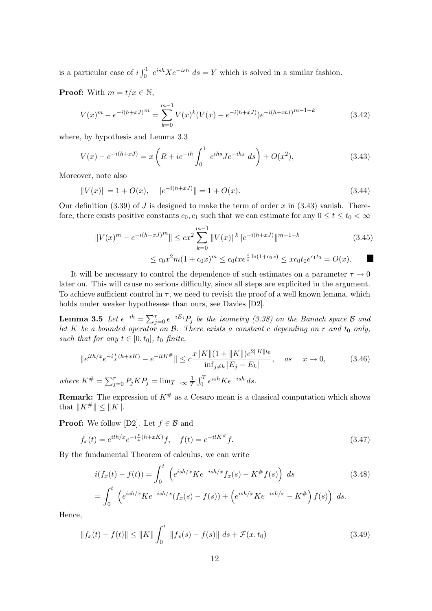is a particular case of  $i \int_0^1 e^{ish} X e^{-ish} ds = Y$  which is solved in a similar fashion.

**Proof:** With  $m = t/x \in \mathbb{N}$ ,

$$
V(x)^{m} - e^{-i(h+xJ)^{m}} = \sum_{k=0}^{m-1} V(x)^{k} (V(x) - e^{-i(h+xJ)}) e^{-i(h+xtJ)^{m-1-k}}
$$
(3.42)

where, by hypothesis and Lemma 3.3

$$
V(x) - e^{-i(h+xJ)} = x \left( R + ie^{-ih} \int_0^1 e^{ihs} J e^{-ihs} ds \right) + O(x^2).
$$
 (3.43)

Moreover, note also

$$
||V(x)|| = 1 + O(x), \quad ||e^{-i(h+xJ)}|| = 1 + O(x). \tag{3.44}
$$

Our definition (3.39) of J is designed to make the term of order x in (3.43) vanish. Therefore, there exists positive constants  $c_0, c_1$  such that we can estimate for any  $0 \le t \le t_0 < \infty$ 

$$
||V(x)^m - e^{-i(h+xJ)^m}|| \le cx^2 \sum_{k=0}^{m-1} ||V(x)||^k ||e^{-i(h+xJ)}||^{m-1-k}
$$
(3.45)  

$$
\le c_0 x^2 m (1 + c_0 x)^m \le c_0 t x e^{\frac{t}{x} \ln(1 + c_0 x)} \le x c_0 t_0 e^{c_1 t_0} = O(x).
$$

It will be necessary to control the dependence of such estimates on a parameter  $\tau \to 0$ later on. This will cause no serious difficulty, since all steps are explicited in the argument. To achieve sufficient control in  $\tau$ , we need to revisit the proof of a well known lemma, which holds under weaker hypothesese than ours, see Davies [D2].

**Lemma 3.5** Let  $e^{-ih} = \sum_{j=0}^{r} e^{-iE_j} P_j$  be the isometry (3.38) on the Banach space  $\beta$  and let K be a bounded operator on  $\mathcal{B}$ . There exists a constant c depending on r and  $t_0$  only, such that for any  $t \in [0, t_0]$ ,  $t_0$  finite,

$$
||e^{ith/x}e^{-i\frac{t}{x}(h+xK)} - e^{-itK^{\#}}|| \leq c \frac{x||K||(1+||K||)e^{2||K||t_0}}{\inf_{j\neq k}|E_j - E_k|}, \quad as \quad x \to 0,
$$
 (3.46)  
where  $K^{\#} = \sum_{j=0}^{r} P_j K P_j = \lim_{T \to \infty} \frac{1}{T} \int_0^T e^{ish} K e^{-ish} ds.$ 

**Remark:** The expression of  $K^{\#}$  as a Cesaro mean is a classical computation which shows that  $||K^{\#}|| \leq ||K||$ .

**Proof:** We follow [D2]. Let  $f \in \mathcal{B}$  and

$$
f_x(t) = e^{ith/x} e^{-i\frac{t}{x}(h+xK)} f, \quad f(t) = e^{-itK^{\#}} f.
$$
\n(3.47)

By the fundamental Theorem of calculus, we can write

$$
i(f_x(t) - f(t)) = \int_0^t \left( e^{ish/x} K e^{-ish/x} f_x(s) - K^\# f(s) \right) ds
$$
(3.48)  
= 
$$
\int_0^t \left( e^{ish/x} K e^{-ish/x} (f_x(s) - f(s)) + \left( e^{ish/x} K e^{-ish/x} - K^\# \right) f(s) \right) ds.
$$

Hence,

$$
||f_x(t) - f(t)|| \le ||K|| \int_0^t ||f_x(s) - f(s)|| ds + \mathcal{F}(x, t_0)
$$
\n(3.49)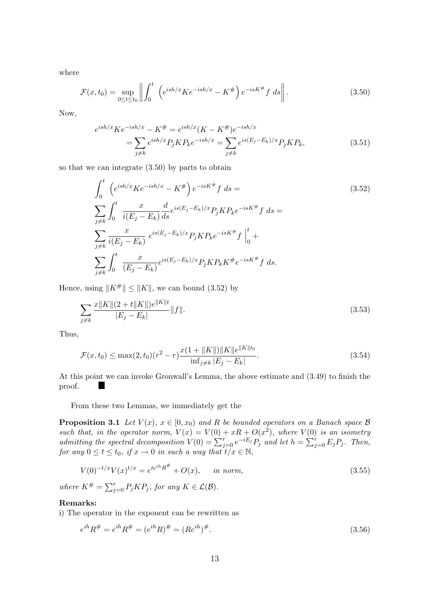where

$$
\mathcal{F}(x,t_0) = \sup_{0 \le t \le t_0} \left\| \int_0^t \left( e^{ish/x} K e^{-ish/x} - K^\# \right) e^{-isK^\# f} ds \right\|. \tag{3.50}
$$

Now,

$$
e^{ish/x}Ke^{-ish/x} - K^{\#} = e^{ish/x}(K - K^{\#})e^{-ish/x}
$$
  
= 
$$
\sum_{j \neq k} e^{ish/x} P_j K P_k e^{-ish/x} = \sum_{j \neq k} e^{is(E_j - E_k)/x} P_j K P_k,
$$
 (3.51)

so that we can integrate (3.50) by parts to obtain

$$
\int_{0}^{t} \left(e^{ish/x}Ke^{-ish/x} - K^{\#}\right)e^{-isK^{\#}}f ds =
$$
\n
$$
\sum_{j \neq k} \int_{0}^{t} \frac{x}{i(E_j - E_k)} \frac{d}{ds} e^{is(E_j - E_k)/x} P_j K P_k e^{-isK^{\#}}f ds =
$$
\n
$$
\sum_{j \neq k} \frac{x}{i(E_j - E_k)} e^{is(E_j - E_k)/x} P_j K P_k e^{-isK^{\#}}f \Big|_{0}^{t} +
$$
\n
$$
\sum_{j \neq k} \int_{0}^{t} \frac{x}{(E_j - E_k)} e^{is(E_j - E_k)/x} P_j K P_k K^{\#}e^{-isK^{\#}}f ds.
$$
\n(3.52)

Hence, using  $||K^{\#}|| \le ||K||$ , we can bound (3.52) by

$$
\sum_{j \neq k} \frac{x \|K\| (2 + t \|K\|) e^{\|K\| t}}{|E_j - E_k|} \|f\|.
$$
\n(3.53)

Thus,

$$
\mathcal{F}(x,t_0) \le \max(2,t_0)(r^2 - r) \frac{x(1 + ||K||) ||K|| e^{\|K\|t_0}}{\inf_{j \ne k} |E_j - E_k|}.
$$
\n(3.54)

At this point we can invoke Gronwall's Lemma, the above estimate and (3.49) to finish the a. proof.

From these two Lemmas, we immediately get the

**Proposition 3.1** Let  $V(x)$ ,  $x \in [0, x_0)$  and R be bounded operators on a Banach space B such that, in the operator norm,  $V(x) = V(0) + xR + O(x^2)$ , where  $V(0)$  is an isometry admitting the spectral decomposition  $V(0) = \sum_{j=0}^{r} e^{-iE_j} P_j$  and let  $h = \sum_{j=0}^{r} E_j P_j$ . Then, for any  $0 \le t \le t_0$ , if  $x \to 0$  in such a way that  $t/x \in \mathbb{N}$ ,

$$
V(0)^{-t/x}V(x)^{t/x} = e^{te^{ih}R^{\#}} + O(x), \quad in \text{ norm}, \tag{3.55}
$$

where  $K^{\#} = \sum_{j=0}^{r} P_j K P_j$ , for any  $K \in \mathcal{L}(\mathcal{B})$ .

### Remarks:

i) The operator in the exponent can be rewritten as

$$
e^{ih}R^{\#} = e^{ih}R^{\#} = (e^{ih}R)^{\#} = (Re^{ih})^{\#}.
$$
\n(3.56)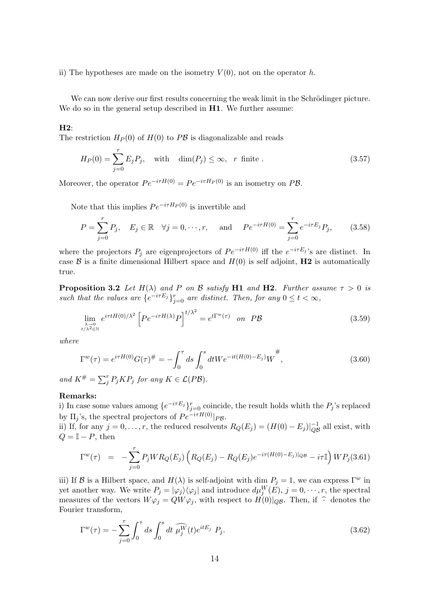ii) The hypotheses are made on the isometry  $V(0)$ , not on the operator h.

We can now derive our first results concerning the weak limit in the Schrödinger picture. We do so in the general setup described in **H1**. We further assume:

### H2:

The restriction  $H_P(0)$  of  $H(0)$  to  $P\mathcal{B}$  is diagonalizable and reads

$$
H_P(0) = \sum_{j=0}^r E_j P_j, \quad \text{with} \quad \dim(P_j) \le \infty, \quad r \text{ finite }.
$$
 (3.57)

Moreover, the operator  $Pe^{-i\tau H(0)} = Pe^{-i\tau H_P(0)}$  is an isometry on PB.

Note that this implies  $Pe^{-i\tau H_P(0)}$  is invertible and

$$
P = \sum_{j=0}^{r} P_j, \quad E_j \in \mathbb{R} \quad \forall j = 0, \cdots, r, \quad \text{and} \quad Pe^{-i\tau H(0)} = \sum_{j=0}^{r} e^{-i\tau E_j} P_j, \tag{3.58}
$$

where the projectors  $P_j$  are eigenprojectors of  $Pe^{-i\tau H(0)}$  iff the  $e^{-i\tau E_j}$ 's are distinct. In case  $\beta$  is a finite dimensional Hilbert space and  $H(0)$  is self adjoint, **H2** is automatically true.

**Proposition 3.2** Let  $H(\lambda)$  and P on B satisfy H1 and H2. Further assume  $\tau > 0$  is such that the values are  $\{e^{-i\tau E_j}\}_{j=0}^r$  are distinct. Then, for any  $0 \le t < \infty$ ,

$$
\lim_{\substack{\lambda \to 0 \\ t/\lambda^2 \in \mathbb{N}}} e^{i\tau t H(0)/\lambda^2} \left[ P e^{-i\tau H(\lambda)} P \right]^{t/\lambda^2} = e^{t\Gamma^w(\tau)} \quad \text{on} \quad P\mathcal{B}
$$
\n(3.59)

where

$$
\Gamma^{w}(\tau) = e^{i\tau H(0)} G(\tau)^{\#} = -\int_{0}^{\tau} ds \int_{0}^{s} dt W e^{-it(H(0) - E_{j})} W^{\#}, \qquad (3.60)
$$

and  $K^{\#} = \sum_{j}^{r} P_{j} K P_{j}$  for any  $K \in \mathcal{L}(P\mathcal{B})$ .

### Remarks:

i) In case some values among  $\{e^{-i\tau E_j}\}_{j=0}^r$  coincide, the result holds whith the  $P_j$ 's replaced by  $\Pi_i$ 's, the spectral projectors of  $Pe^{-i\tau H(0)}|_{PR}$ .

ii) If, for any  $j = 0, \ldots, r$ , the reduced resolvents  $R_Q(E_j) = (H(0) - E_j)|_{OP}^{-1}$  $\overline{Q}^1_{\mathcal{B}}$  all exist, with  $Q = \mathbb{I} - P$ , then

$$
\Gamma^{w}(\tau) = -\sum_{j=0}^{r} P_j W R_Q(E_j) \left( R_Q(E_j) - R_Q(E_j) e^{-i\tau(H(0) - E_j)|_{QS}} - i\tau \mathbb{I} \right) W P_j(3.61)
$$

iii) If B is a Hilbert space, and  $H(\lambda)$  is self-adjoint with dim  $P_i = 1$ , we can express  $\Gamma^w$  in yet another way. We write  $P_j = |\varphi_j\rangle\langle\varphi_j|$  and introduce  $d\mu_j^W(E)$ ,  $j = 0, \dots, r$ , the spectral measures of the vectors  $W\varphi_i = QW\varphi_i$ , with respect to  $H(0)|_{Q\mathcal{B}}$ . Then, if  $\hat{\cdot}$  denotes the Fourier transform,

$$
\Gamma^{w}(\tau) = -\sum_{j=0}^{r} \int_{0}^{\tau} ds \int_{0}^{s} dt \, \widehat{\mu_{j}^{W}}(t) e^{itE_{j}} P_{j}.
$$
\n(3.62)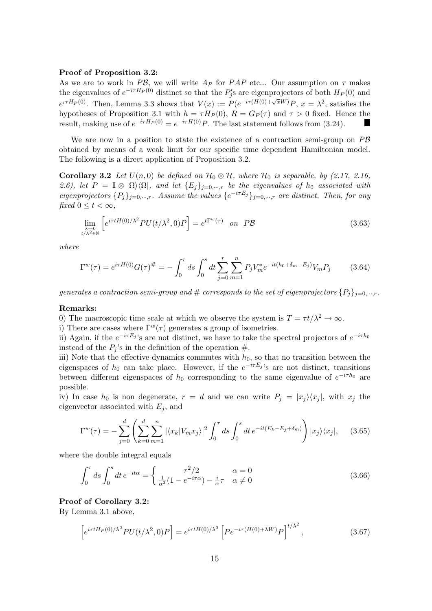#### Proof of Proposition 3.2:

As we are to work in PB, we will write  $A_P$  for PAP etc... Our assumption on  $\tau$  makes the eigenvalues of  $e^{-i\tau H_P(0)}$  distinct so that the  $P'_j$ s are eigenprojectors of both  $H_P(0)$  and  $e^{i\tau H_P(0)}$ . Then, Lemma 3.3 shows that  $V(x) := P(e^{-i\tau(H(0)+\sqrt{x}W)}P, x = \lambda^2$ , satisfies the hypotheses of Proposition 3.1 with  $h = \tau H_P(0)$ ,  $R = G_P(\tau)$  and  $\tau > 0$  fixed. Hence the result, making use of  $e^{-i\tau H_P(0)} = e^{-i\tau H(0)}P$ . The last statement follows from (3.24). **I** 

We are now in a position to state the existence of a contraction semi-group on  $P\mathcal{B}$ obtained by means of a weak limit for our specific time dependent Hamiltonian model. The following is a direct application of Proposition 3.2.

**Corollary 3.2** Let  $U(n,0)$  be defined on  $\mathcal{H}_0 \otimes \mathcal{H}$ , where  $\mathcal{H}_0$  is separable, by (2.17, 2.16, 2.6), let  $P = \mathbb{I} \otimes |\Omega\rangle\langle\Omega|$ , and let  $\{E_j\}_{j=0,\dots,r}$  be the eigenvalues of  $h_0$  associated with eigenprojectors  $\{P_j\}_{j=0,\cdots,r}$ . Assume the values  $\{e^{-i\tau E_j}\}_{j=0,\cdots,r}$  are distinct. Then, for any fixed  $0 \leq t \leq \infty$ ,

$$
\lim_{\substack{\lambda \to 0 \\ t/\lambda^2 \in \mathbb{N}}} \left[ e^{i\tau t H(0)/\lambda^2} P U(t/\lambda^2, 0) P \right] = e^{t\Gamma^w(\tau)} \quad \text{on} \quad P\mathcal{B}
$$
\n(3.63)

where

$$
\Gamma^{w}(\tau) = e^{i\tau H(0)} G(\tau)^{\#} = -\int_{0}^{\tau} ds \int_{0}^{s} dt \sum_{j=0}^{r} \sum_{m=1}^{n} P_{j} V_{m}^{*} e^{-it(h_{0} + \delta_{m} - E_{j})} V_{m} P_{j}
$$
(3.64)

generates a contraction semi-group and  $\#$  corresponds to the set of eigenprojectors  $\{P_i\}_{i=0,\dots,r}$ .

#### Remarks:

0) The macroscopic time scale at which we observe the system is  $T = \tau t / \lambda^2 \to \infty$ .

i) There are cases where  $\Gamma^{w}(\tau)$  generates a group of isometries.

ii) Again, if the  $e^{-i\tau E_j}$ 's are not distinct, we have to take the spectral projectors of  $e^{-i\tau h_0}$ instead of the  $P_i$ 's in the definition of the operation  $\#$ .

iii) Note that the effective dynamics commutes with  $h_0$ , so that no transition between the eigenspaces of  $h_0$  can take place. However, if the  $e^{-i\tau E_j}$ 's are not distinct, transitions between different eigenspaces of  $h_0$  corresponding to the same eigenvalue of  $e^{-i\tau h_0}$  are possible.

iv) In case  $h_0$  is non degenerate,  $r = d$  and we can write  $P_j = |x_j\rangle\langle x_j|$ , with  $x_j$  the eigenvector associated with  $E_j$ , and

$$
\Gamma^{w}(\tau) = -\sum_{j=0}^{d} \left( \sum_{k=0}^{d} \sum_{m=1}^{n} |\langle x_{k} | V_{m} x_{j} \rangle|^{2} \int_{0}^{\tau} ds \int_{0}^{s} dt \, e^{-it(E_{k} - E_{j} + \delta_{m})} \right) |x_{j}\rangle\langle x_{j}|, \quad (3.65)
$$

where the double integral equals

$$
\int_0^{\tau} ds \int_0^s dt e^{-it\alpha} = \begin{cases} \frac{\tau^2/2}{\alpha^2 (1 - e^{-i\tau \alpha}) - \frac{i}{\alpha} \tau} & \alpha = 0\\ \frac{1}{\alpha^2 (1 - e^{-i\tau \alpha}) - \frac{i}{\alpha} \tau} & \alpha \neq 0 \end{cases}
$$
(3.66)

### Proof of Corollary 3.2:

By Lemma 3.1 above,

$$
\[e^{i\tau tH_P(0)/\lambda^2}PU(t/\lambda^2,0)P\] = e^{i\tau tH(0)/\lambda^2}\left[Pe^{-i\tau(H(0)+\lambda W)}P\right]^{t/\lambda^2},\tag{3.67}
$$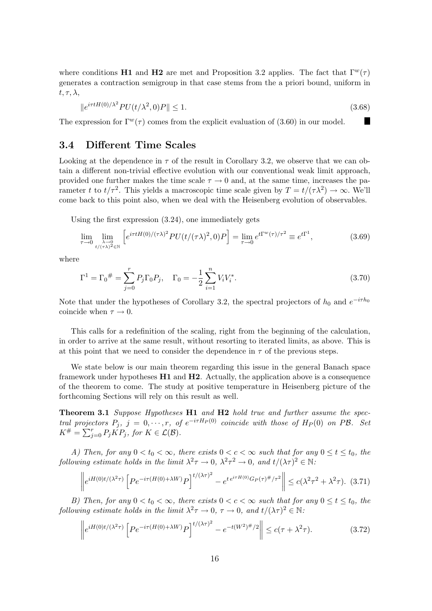where conditions H1 and H2 are met and Proposition 3.2 applies. The fact that  $\Gamma^{w}(\tau)$ generates a contraction semigroup in that case stems from the a priori bound, uniform in  $t, \tau, \lambda,$ 

$$
\|e^{i\tau tH(0)/\lambda^2}PU(t/\lambda^2,0)P\| \le 1. \tag{3.68}
$$

H

The expression for  $\Gamma^w(\tau)$  comes from the explicit evaluation of (3.60) in our model.

## 3.4 Different Time Scales

Looking at the dependence in  $\tau$  of the result in Corollary 3.2, we observe that we can obtain a different non-trivial effective evolution with our conventional weak limit approach, provided one further makes the time scale  $\tau \to 0$  and, at the same time, increases the parameter t to  $t/\tau^2$ . This yields a macroscopic time scale given by  $T = t/(\tau \lambda^2) \to \infty$ . We'll come back to this point also, when we deal with the Heisenberg evolution of observables.

Using the first expression (3.24), one immediately gets

$$
\lim_{\tau \to 0} \lim_{\substack{\lambda \to 0 \\ t/(\tau \lambda)^2 \in \mathbb{N}}} \left[ e^{i\tau t H(0)/(\tau \lambda)^2} P U(t/(\tau \lambda)^2, 0) P \right] = \lim_{\tau \to 0} e^{t \Gamma^w(\tau)/\tau^2} \equiv e^{t \Gamma^1},\tag{3.69}
$$

where

$$
\Gamma^{1} = \Gamma_{0}^{\#} = \sum_{j=0}^{r} P_{j} \Gamma_{0} P_{j}, \quad \Gamma_{0} = -\frac{1}{2} \sum_{i=1}^{n} V_{i} V_{i}^{*}.
$$
\n(3.70)

Note that under the hypotheses of Corollary 3.2, the spectral projectors of  $h_0$  and  $e^{-i\tau h_0}$ coincide when  $\tau \to 0$ .

This calls for a redefinition of the scaling, right from the beginning of the calculation, in order to arrive at the same result, without resorting to iterated limits, as above. This is at this point that we need to consider the dependence in  $\tau$  of the previous steps.

We state below is our main theorem regarding this issue in the general Banach space framework under hypotheses  $H1$  and  $H2$ . Actually, the application above is a consequence of the theorem to come. The study at positive temperature in Heisenberg picture of the forthcoming Sections will rely on this result as well.

Theorem 3.1 Suppose Hypotheses H1 and H2 hold true and further assume the spectral projectors  $P_j$ ,  $j = 0, \dots, r$ , of  $e^{-i\tau H_P(0)}$  coincide with those of  $H_P(0)$  on PB. Set  $K^{\#} = \sum_{j=0}^{r} P_j \check{KP}_j$ , for  $K \in \mathcal{L}(\mathcal{B})$ .

A) Then, for any  $0 < t_0 < \infty$ , there exists  $0 < c < \infty$  such that for any  $0 \le t \le t_0$ , the following estimate holds in the limit  $\lambda^2 \tau \to 0$ ,  $\lambda^2 \tau^2 \to 0$ , and  $t/(\lambda \tau)^2 \in \mathbb{N}$ .

$$
\left\| e^{iH(0)t/(\lambda^2 \tau)} \left[ P e^{-i\tau (H(0) + \lambda W)} P \right]^{t/(\lambda \tau)^2} - e^{t e^{i\tau H(0)} G_P(\tau)^{\#}/\tau^2} \right\| \le c(\lambda^2 \tau^2 + \lambda^2 \tau). \tag{3.71}
$$

B) Then, for any  $0 < t_0 < \infty$ , there exists  $0 < c < \infty$  such that for any  $0 \le t \le t_0$ , the following estimate holds in the limit  $\lambda^2 \tau \to 0$ ,  $\tau \to 0$ , and  $t/(\lambda \tau)^2 \in \mathbb{N}$ .

$$
\left\| e^{iH(0)t/(\lambda^2 \tau)} \left[ P e^{-i\tau (H(0) + \lambda W)} P \right]^{t/(\lambda \tau)^2} - e^{-t(W^2)^{\#}/2} \right\| \le c(\tau + \lambda^2 \tau). \tag{3.72}
$$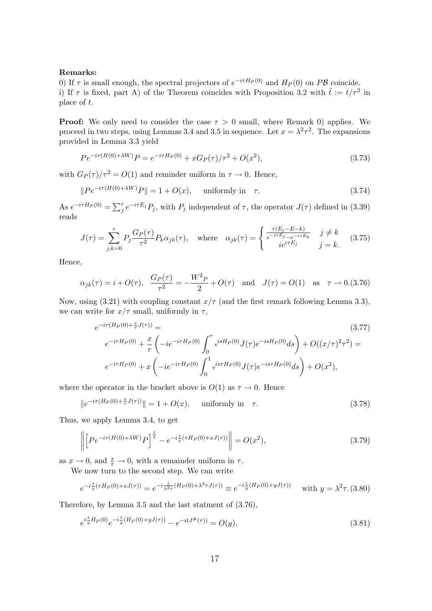### Remarks:

0) If  $\tau$  is small enough, the spectral projectors of  $e^{-i\tau H_P(0)}$  and  $H_P(0)$  on PB coincide. i) If  $\tau$  is fixed, part A) of the Theorem coincides with Proposition 3.2 with  $\tilde{t} := t/\tau^2$  in place of t.

**Proof:** We only need to consider the case  $\tau > 0$  small, where Remark 0) applies. We proceed in two steps, using Lemmas 3.4 and 3.5 in sequence. Let  $x = \lambda^2 \tau^2$ . The expansions provided in Lemma 3.3 yield

$$
Pe^{-i\tau(H(0)+\lambda W)}P = e^{-i\tau H_P(0)} + xG_P(\tau)/\tau^2 + O(x^2),\tag{3.73}
$$

with  $G_P(\tau)/\tau^2 = O(1)$  and reminder uniform in  $\tau \to 0$ . Hence,

$$
||Pe^{-i\tau(H(0)+\lambda W)}P|| = 1 + O(x), \quad \text{uniformly in} \quad \tau. \tag{3.74}
$$

As  $e^{-i\tau H_P(0)} = \sum_{j}^{r} e^{-i\tau E_j} P_j$ , with  $P_j$  independent of  $\tau$ , the operator  $J(\tau)$  defined in (3.39) reads

$$
J(\tau) = \sum_{j,k=0}^{r} P_j \frac{G_P(\tau)}{\tau^2} P_k \alpha_{jk}(\tau), \quad \text{where} \quad \alpha_{jk}(\tau) = \begin{cases} \frac{\tau(E_j - E - k)}{e^{-i\tau E_j} - e^{-i\tau E_k}} & j \neq k \\ ie^{i\tau E_j} & j = k. \end{cases} \tag{3.75}
$$

Hence,

$$
\alpha_{jk}(\tau) = i + O(\tau), \quad \frac{G_P(\tau)}{\tau^2} = -\frac{W^2 P}{2} + O(\tau) \quad \text{and} \quad J(\tau) = O(1) \quad \text{as} \quad \tau \to 0. (3.76)
$$

Now, using (3.21) with coupling constant  $x/\tau$  (and the first remark following Lemma 3.3), we can write for  $x/\tau$  small, uniformly in  $\tau$ ,

$$
e^{-i\tau(H_P(0)+\frac{x}{\tau}J(\tau))} =
$$
\n
$$
e^{-i\tau H_P(0)} + \frac{x}{\tau} \left( -ie^{-i\tau H_P(0)} \int_0^\tau e^{isH_P(0)} J(\tau) e^{-isH_P(0)} ds \right) + O((x/\tau)^2 \tau^2) =
$$
\n
$$
e^{-i\tau H_P(0)} + x \left( -ie^{-i\tau H_P(0)} \int_0^1 e^{is\tau H_P(0)} J(\tau) e^{-is\tau H_P(0)} ds \right) + O(x^2),
$$
\n(3.77)

where the operator in the bracket above is  $O(1)$  as  $\tau \to 0$ . Hence

$$
||e^{-i\tau(H_P(0) + \frac{x}{\tau}J(\tau))}|| = 1 + O(x), \quad \text{uniformly in} \quad \tau.
$$
 (3.78)

Thus, we apply Lemma 3.4, to get

$$
\left\| \left[ Pe^{-i\tau(H(0)+\lambda W)}P \right]^{\frac{t}{x}} - e^{-i\frac{t}{x}(\tau H_P(0)+xJ(\tau))} \right\| = O(x^2),\tag{3.79}
$$

as  $x \to 0$ , and  $\frac{x}{\tau} \to 0$ , with a remainder uniform in  $\tau$ .

We now turn to the second step. We can write

$$
e^{-i\frac{t}{x}(\tau H_P(0) + xJ(\tau))} = e^{-i\frac{t}{\lambda^2\tau}(H_P(0) + \lambda^2\tau J(\tau))} \equiv e^{-i\frac{t}{y}(H_P(0) + yJ(\tau))} \quad \text{with } y = \lambda^2\tau. \text{ (3.80)}
$$

Therefore, by Lemma 3.5 and the last statment of (3.76),

$$
e^{i\frac{t}{y}H_P(0)}e^{-i\frac{t}{y}(H_P(0)+yJ(\tau))} - e^{-itJ^{\#}(\tau))} = O(y),
$$
\n(3.81)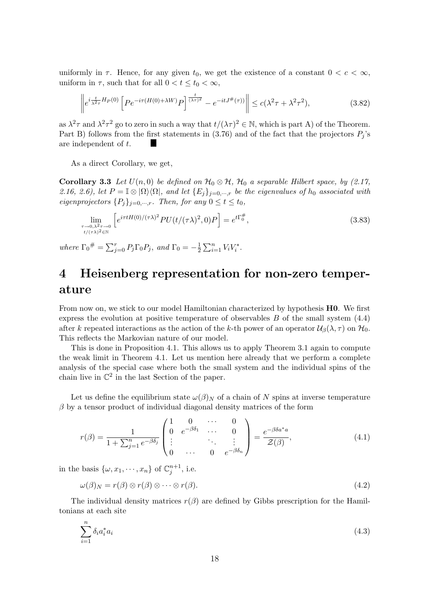uniformly in  $\tau$ . Hence, for any given  $t_0$ , we get the existence of a constant  $0 < c < \infty$ , uniform in  $\tau$ , such that for all  $0 < t \leq t_0 < \infty$ ,

$$
\left\| e^{i\frac{t}{\lambda^2 \tau} H_P(0)} \left[ P e^{-i\tau (H(0) + \lambda W)} P \right]^{\frac{t}{(\lambda \tau)^2}} - e^{-itJ^{\#}(\tau)} \right\| \le c(\lambda^2 \tau + \lambda^2 \tau^2),\tag{3.82}
$$

as  $\lambda^2 \tau$  and  $\lambda^2 \tau^2$  go to zero in such a way that  $t/(\lambda \tau)^2 \in \mathbb{N}$ , which is part A) of the Theorem. Part B) follows from the first statements in (3.76) and of the fact that the projectors  $P_j$ 's are independent of t.

As a direct Corollary, we get,

Corollary 3.3 Let  $U(n,0)$  be defined on  $\mathcal{H}_0 \otimes \mathcal{H}$ ,  $\mathcal{H}_0$  a separable Hilbert space, by (2.17, 2.16, 2.6), let  $P = \mathbb{I} \otimes |\Omega\rangle\langle\Omega|$ , and let  $\{E_j\}_{j=0,\dots,r}$  be the eigenvalues of  $h_0$  associated with eigenprojectors  $\{P_i\}_{i=0,\dots,r}$ . Then, for any  $0 \le t \le t_0$ ,

$$
\lim_{\substack{\tau \to 0, \lambda^2 \tau \to 0 \\ t/(\tau \lambda)^2 \in \mathbb{N}}} \left[ e^{i\tau t H(0)/(\tau \lambda)^2} P U(t/(\tau \lambda)^2, 0) P \right] = e^{t \Gamma_0^{\#}}, \tag{3.83}
$$

where  $\Gamma_0^{\#} = \sum_{j=0}^{r} P_j \Gamma_0 P_j$ , and  $\Gamma_0 = -\frac{1}{2}$  $\frac{1}{2} \sum_{i=1}^{n} V_i V_i^*$ .

# 4 Heisenberg representation for non-zero temperature

From now on, we stick to our model Hamiltonian characterized by hypothesis H0. We first express the evolution at positive temperature of observables  $B$  of the small system  $(4.4)$ after k repeated interactions as the action of the k-th power of an operator  $\mathcal{U}_{\beta}(\lambda, \tau)$  on  $\mathcal{H}_{0}$ . This reflects the Markovian nature of our model.

This is done in Proposition 4.1. This allows us to apply Theorem 3.1 again to compute the weak limit in Theorem 4.1. Let us mention here already that we perform a complete analysis of the special case where both the small system and the individual spins of the chain live in  $\mathbb{C}^2$  in the last Section of the paper.

Let us define the equilibrium state  $\omega(\beta)_N$  of a chain of N spins at inverse temperature  $\beta$  by a tensor product of individual diagonal density matrices of the form

$$
r(\beta) = \frac{1}{1 + \sum_{j=1}^{n} e^{-\beta \delta_j}} \begin{pmatrix} 1 & 0 & \cdots & 0 \\ 0 & e^{-\beta \delta_1} & \cdots & 0 \\ \vdots & & \ddots & \vdots \\ 0 & \cdots & 0 & e^{-\beta \delta_n} \end{pmatrix} = \frac{e^{-\beta \delta a^* a}}{\mathcal{Z}(\beta)},
$$
(4.1)

in the basis  $\{\omega, x_1, \dots, x_n\}$  of  $\mathbb{C}_j^{n+1}$ , i.e.

$$
\omega(\beta)_N = r(\beta) \otimes r(\beta) \otimes \cdots \otimes r(\beta). \tag{4.2}
$$

The individual density matrices  $r(\beta)$  are defined by Gibbs prescription for the Hamiltonians at each site

$$
\sum_{i=1}^{n} \delta_i a_i^* a_i \tag{4.3}
$$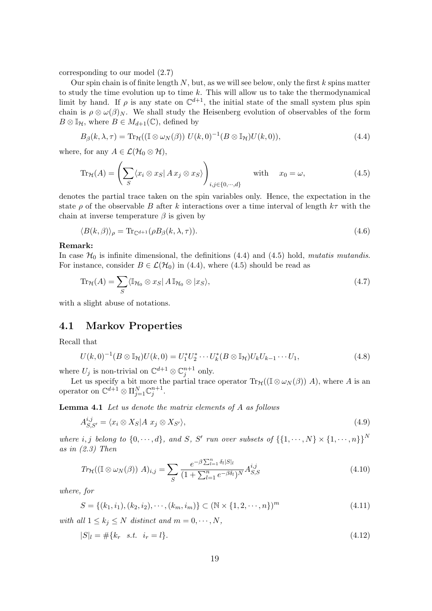corresponding to our model (2.7)

Our spin chain is of finite length  $N$ , but, as we will see below, only the first  $k$  spins matter to study the time evolution up to time  $k$ . This will allow us to take the thermodynamical limit by hand. If  $\rho$  is any state on  $\mathbb{C}^{d+1}$ , the initial state of the small system plus spin chain is  $\rho \otimes \omega(\beta)N$ . We shall study the Heisenberg evolution of observables of the form  $B \otimes \mathbb{I}_{\mathcal{H}}$ , where  $B \in M_{d+1}(\mathbb{C})$ , defined by

$$
B_{\beta}(k,\lambda,\tau) = \text{Tr}_{\mathcal{H}}((\mathbb{I} \otimes \omega_N(\beta)) U(k,0)^{-1}(B \otimes \mathbb{I}_{\mathcal{H}})U(k,0)),\tag{4.4}
$$

where, for any  $A \in \mathcal{L}(\mathcal{H}_0 \otimes \mathcal{H}),$ 

$$
\operatorname{Tr}_{\mathcal{H}}(A) = \left(\sum_{S} \langle x_i \otimes x_S | A x_j \otimes x_S \rangle \right)_{i,j \in \{0,\cdots,d\}} \quad \text{with} \quad x_0 = \omega,
$$
\n(4.5)

denotes the partial trace taken on the spin variables only. Hence, the expectation in the state  $\rho$  of the observable B after k interactions over a time interval of length  $k\tau$  with the chain at inverse temperature  $\beta$  is given by

$$
\langle B(k,\beta) \rangle_{\rho} = \text{Tr}_{\mathbb{C}^{d+1}}(\rho B_{\beta}(k,\lambda,\tau)). \tag{4.6}
$$

### Remark:

In case  $\mathcal{H}_0$  is infinite dimensional, the definitions (4.4) and (4.5) hold, mutatis mutandis. For instance, consider  $B \in \mathcal{L}(\mathcal{H}_0)$  in (4.4), where (4.5) should be read as

$$
\operatorname{Tr}_{\mathcal{H}}(A) = \sum_{S} \langle \mathbb{I}_{\mathcal{H}_0} \otimes x_S | A \mathbb{I}_{\mathcal{H}_0} \otimes | x_S \rangle, \tag{4.7}
$$

with a slight abuse of notations.

## 4.1 Markov Properties

Recall that

$$
U(k,0)^{-1}(B \otimes \mathbb{I}_{\mathcal{H}})U(k,0) = U_1^* U_2^* \cdots U_k^*(B \otimes \mathbb{I}_{\mathcal{H}})U_k U_{k-1} \cdots U_1,
$$
\n(4.8)

where  $U_j$  is non-trivial on  $\mathbb{C}^{d+1} \otimes \mathbb{C}_j^{n+1}$  only.

Let us specify a bit more the partial trace operator  $\text{Tr}_{\mathcal{H}}((\mathbb{I} \otimes \omega_N(\beta)) A)$ , where A is an operator on  $\mathbb{C}^{d+1} \otimes \Pi_{j=1}^N \mathbb{C}_j^{n+1}$ .

Lemma 4.1 Let us denote the matrix elements of A as follows

$$
A_{S,S'}^{i,j} = \langle x_i \otimes X_S | A \ x_j \otimes X_{S'} \rangle, \tag{4.9}
$$

where i, j belong to  $\{0, \dots, d\}$ , and S, S' run over subsets of  $\{\{1, \dots, N\} \times \{1, \dots, n\}\}^N$ as in  $(2.3)$  Then

$$
Tr_{\mathcal{H}}((\mathbb{I} \otimes \omega_{N}(\beta)) A)_{i,j} = \sum_{S} \frac{e^{-\beta \sum_{l=1}^{n} \delta_{l} |S|_{l}}}{(1 + \sum_{l=1}^{n} e^{-\beta \delta_{l}})^{N}} A_{S,S}^{i,j}
$$
(4.10)

where, for

$$
S = \{(k_1, i_1), (k_2, i_2), \cdots, (k_m, i_m)\} \subset (\mathbb{N} \times \{1, 2, \cdots, n\})^m
$$
\n(4.11)

with all  $1 \leq k_j \leq N$  distinct and  $m = 0, \dots, N$ ,

$$
|S|_l = #\{k_r \quad s.t. \quad i_r = l\}.
$$
\n(4.12)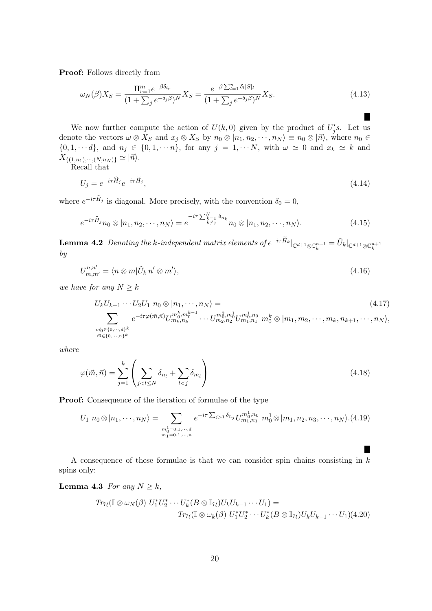Proof: Follows directly from

$$
\omega_N(\beta)X_S = \frac{\Pi_{r=1}^m e^{-\beta \delta_{ir}}}{(1 + \sum_j e^{-\delta_j \beta})^N} X_S = \frac{e^{-\beta \sum_{l=1}^n \delta_l |S|_l}}{(1 + \sum_j e^{-\delta_j \beta})^N} X_S.
$$
\n(4.13)

We now further compute the action of  $U(k,0)$  given by the product of  $U_j's$ . Let us denote the vectors  $\omega \otimes X_S$  and  $x_j \otimes X_S$  by  $n_0 \otimes |n_1, n_2, \dots, n_N\rangle \equiv n_0 \otimes |n\rangle$ , where  $n_0 \in$  $\{0, 1, \dots d\}$ , and  $n_j \in \{0, 1, \dots n\}$ , for any  $j = 1, \dots N$ , with  $\omega \simeq 0$  and  $x_k \simeq k$  and  $X_{\{(1,n_1),\cdots,(N,n_N)\}} \simeq |\vec{n}\rangle.$ 

Recall that

$$
U_j = e^{-i\tau \hat{H}_j} e^{-i\tau H_j},\tag{4.14}
$$

where  $e^{-i\tau H_j}$  is diagonal. More precisely, with the convention  $\delta_0 = 0$ ,

$$
e^{-i\tau \widehat{H}_j} n_0 \otimes |n_1, n_2, \cdots, n_N\rangle = e^{-i\tau \sum_{k=1}^N \delta_{n_k}} n_0 \otimes |n_1, n_2, \cdots, n_N\rangle.
$$
 (4.15)

**Lemma 4.2** Denoting the k-independent matrix elements of  $e^{-i\tau \tilde{H}_k}|_{\mathbb{C}^{d+1}\otimes\mathbb{C}^{n+1}_k} = \tilde{U}_k|_{\mathbb{C}^{d+1}\otimes\mathbb{C}^{n+1}_k}$ by

$$
U_{m,m'}^{n,n'} = \langle n \otimes m | \tilde{U}_k n' \otimes m' \rangle, \tag{4.16}
$$

we have for any  $N \geq k$ 

$$
U_k U_{k-1} \cdots U_2 U_1 n_0 \otimes |n_1, \cdots, n_N\rangle =
$$
\n
$$
\sum_{\substack{m_0 \in \{0, \cdots, d\}^k \\ m \in \{0, \cdots, n\}^k}} e^{-i\tau \varphi(\vec{m}, \vec{n})} U_{m_k, n_k}^{m_0^k, m_0^{k-1}} \cdots U_{m_2, n_2}^{m_0^2, m_0^1} U_{m_1, n_1}^{m_0^1, n_0} n_0^k \otimes |m_1, m_2, \cdots, m_k, n_{k+1}, \cdots, n_N\rangle,
$$
\n
$$
(4.17)
$$

where

$$
\varphi(\vec{m}, \vec{n}) = \sum_{j=1}^{k} \left( \sum_{j < l \le N} \delta_{n_l} + \sum_{l < j} \delta_{m_l} \right) \tag{4.18}
$$

Proof: Consequence of the iteration of formulae of the type

$$
U_1 n_0 \otimes |n_1, \cdots, n_N\rangle = \sum_{\substack{m_0^1 = 0, 1, \cdots, d \\ m_1 = 0, 1, \cdots, n}} e^{-i\tau \sum_{j>1} \delta_{n_j}} U_{m_1, n_1}^{m_0^1, n_0} m_0^1 \otimes |m_1, n_2, n_3, \cdots, n_N\rangle. (4.19)
$$

A consequence of these formulae is that we can consider spin chains consisting in  $k$ spins only:

### **Lemma 4.3** For any  $N \geq k$ ,

$$
Tr_{\mathcal{H}}(\mathbb{I} \otimes \omega_N(\beta) U_1^* U_2^* \cdots U_k^*(B \otimes \mathbb{I}_{\mathcal{H}}) U_k U_{k-1} \cdots U_1) =
$$
  

$$
Tr_{\mathcal{H}}(\mathbb{I} \otimes \omega_k(\beta) U_1^* U_2^* \cdots U_k^*(B \otimes \mathbb{I}_{\mathcal{H}}) U_k U_{k-1} \cdots U_1) (4.20)
$$

H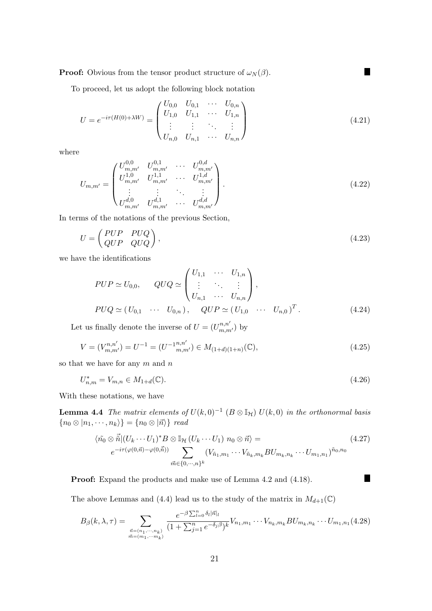**Proof:** Obvious from the tensor product structure of  $\omega_N(\beta)$ .

To proceed, let us adopt the following block notation

$$
U = e^{-i\tau(H(0) + \lambda W)} = \begin{pmatrix} U_{0,0} & U_{0,1} & \cdots & U_{0,n} \\ U_{1,0} & U_{1,1} & \cdots & U_{1,n} \\ \vdots & \vdots & \ddots & \vdots \\ U_{n,0} & U_{n,1} & \cdots & U_{n,n} \end{pmatrix}
$$
(4.21)

 $\blacksquare$ 

П

where

$$
U_{m,m'} = \begin{pmatrix} U_{m,m'}^{0,0} & U_{m,m'}^{0,1} & \cdots & U_{m,m'}^{0,d} \\ U_{m,m'}^{1,0} & U_{m,m'}^{1,1} & \cdots & U_{m,m'}^{1,d} \\ \vdots & \vdots & \ddots & \vdots \\ U_{m,m'}^{d,0} & U_{m,m'}^{d,1} & \cdots & U_{m,m'}^{d,d} \end{pmatrix} .
$$
 (4.22)

In terms of the notations of the previous Section,

$$
U = \begin{pmatrix} PUP & PUQ \\ QUP & QUQ \end{pmatrix},\tag{4.23}
$$

we have the identifications

$$
PUP \simeq U_{0,0}, \qquad QUQ \simeq \begin{pmatrix} U_{1,1} & \cdots & U_{1,n} \\ \vdots & \ddots & \vdots \\ U_{n,1} & \cdots & U_{n,n} \end{pmatrix},
$$
  
\n
$$
PUQ \simeq (U_{0,1} & \cdots & U_{0,n}), \qquad QUP \simeq (U_{1,0} & \cdots & U_{n,0})^T.
$$
 (4.24)

Let us finally denote the inverse of  $U = (U_{m,m'}^{n,n'})$  by

$$
V = (V_{m,m'}^{n,n'}) = U^{-1} = (U^{-1}{}_{m,m'}^{n,n'}) \in M_{(1+d)(1+n)}(\mathbb{C}),\tag{4.25}
$$

so that we have for any  $m$  and  $n$ 

$$
U_{n,m}^* = V_{m,n} \in M_{1+d}(\mathbb{C}).\tag{4.26}
$$

With these notations, we have

**Lemma 4.4** The matrix elements of  $U(k,0)^{-1}$   $(B \otimes \mathbb{I}_{\mathcal{H}})$   $U(k,0)$  in the orthonormal basis  $\{n_0 \otimes |n_1, \dots, n_k\rangle\} = \{n_0 \otimes |\vec{n}\rangle\}$  read

$$
\langle \tilde{m_0} \otimes \vec{n} | (U_k \cdots U_1)^* B \otimes \mathbb{I}_{\mathcal{H}} (U_k \cdots U_1) n_0 \otimes \vec{n} \rangle =
$$
\n
$$
e^{-i\tau(\varphi(0,\vec{n})-\varphi(0,\vec{n}))} \sum_{\vec{m} \in \{0,\cdots,n\}^k} (V_{\tilde{n}_1,m_1} \cdots V_{\tilde{n}_k,m_k} BU_{m_k,n_k} \cdots U_{m_1,n_1})^{\tilde{n}_0,n_0}
$$
\n
$$
(4.27)
$$

Proof: Expand the products and make use of Lemma 4.2 and (4.18).

The above Lemmas and (4.4) lead us to the study of the matrix in  $M_{d+1}(\mathbb{C})$ 

$$
B_{\beta}(k,\lambda,\tau) = \sum_{\substack{\vec{n}=(n_1,\cdots,n_k) \\ \vec{m}=(m_1,\cdots,m_k)}} \frac{e^{-\beta \sum_{l=0}^n \delta_l |\vec{n}|_l}}{(1+\sum_{j=1}^n e^{-\delta_j \beta})^k} V_{n_1,m_1} \cdots V_{n_k,m_k} B U_{m_k,n_k} \cdots U_{m_1,n_1}(4.28)
$$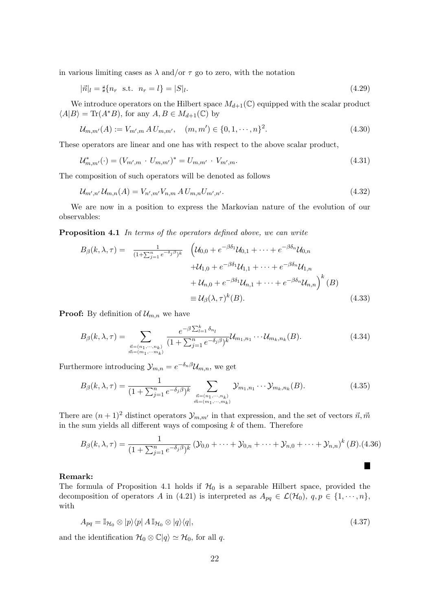in various limiting cases as  $\lambda$  and/or  $\tau$  go to zero, with the notation

$$
|\vec{n}|_l = \frac{4}{n_r} \text{ s.t. } n_r = l = |S|_l. \tag{4.29}
$$

We introduce operators on the Hilbert space  $M_{d+1}(\mathbb{C})$  equipped with the scalar product  $\langle A|B\rangle = \text{Tr}(A^*B)$ , for any  $A, B \in M_{d+1}(\mathbb{C})$  by

$$
\mathcal{U}_{m,m'}(A) := V_{m',m} A U_{m,m'}, \quad (m,m') \in \{0,1,\cdots,n\}^2.
$$
 (4.30)

These operators are linear and one has with respect to the above scalar product,

$$
\mathcal{U}_{m,m'}^*(\cdot) = (V_{m',m} \cdot U_{m,m'})^* = U_{m,m'} \cdot V_{m',m}.
$$
\n(4.31)

The composition of such operators will be denoted as follows

$$
\mathcal{U}_{m',n'}\mathcal{U}_{m,n}(A) = V_{n',m'}V_{n,m}\,AU_{m,n}U_{m',n'}.\tag{4.32}
$$

We are now in a position to express the Markovian nature of the evolution of our observables:

Proposition 4.1 In terms of the operators defined above, we can write

$$
B_{\beta}(k,\lambda,\tau) = \frac{1}{(1+\sum_{j=1}^{n}e^{-\delta_{j}\beta})^{k}} \left( \mathcal{U}_{0,0} + e^{-\beta\delta_{1}}\mathcal{U}_{0,1} + \dots + e^{-\beta\delta_{n}}\mathcal{U}_{0,n} + \mathcal{U}_{1,0} + e^{-\beta\delta_{1}}\mathcal{U}_{1,1} + \dots + e^{-\beta\delta_{n}}\mathcal{U}_{1,n} + \mathcal{U}_{n,0} + e^{-\beta\delta_{1}}\mathcal{U}_{n,1} + \dots + e^{-\beta\delta_{n}}\mathcal{U}_{n,n} \right)^{k}(B)
$$
  

$$
= \mathcal{U}_{\beta}(\lambda,\tau)^{k}(B). \tag{4.33}
$$

**Proof:** By definition of  $\mathcal{U}_{m,n}$  we have

$$
B_{\beta}(k,\lambda,\tau) = \sum_{\substack{\vec{n}=(n_1,\cdots,n_k) \\ \vec{m}=(m_1,\cdots,m_k)}} \frac{e^{-\beta \sum_{l=1}^k \delta_{n_l}}}{(1+\sum_{j=1}^n e^{-\delta_j \beta})^k} \mathcal{U}_{m_1,n_1} \cdots \mathcal{U}_{m_k,n_k}(B). \tag{4.34}
$$

Furthermore introducing  $\mathcal{Y}_{m,n} = e^{-\delta_n \beta} \mathcal{U}_{m,n}$ , we get

$$
B_{\beta}(k,\lambda,\tau) = \frac{1}{(1+\sum_{j=1}^{n}e^{-\delta_{j}\beta})^{k}} \sum_{\substack{\vec{n}=(n_{1},\dots,n_{k})\\ \vec{m}=(m_{1},\dots,m_{k})}} \mathcal{Y}_{m_{1},n_{1}}\cdots\mathcal{Y}_{m_{k},n_{k}}(B). \tag{4.35}
$$

There are  $(n + 1)^2$  distinct operators  $\mathcal{Y}_{m,m'}$  in that expression, and the set of vectors  $\vec{n}, \vec{m}$ in the sum yields all different ways of composing  $k$  of them. Therefore

$$
B_{\beta}(k,\lambda,\tau) = \frac{1}{(1+\sum_{j=1}^{n}e^{-\delta_{j}\beta})^{k}}\left(\mathcal{Y}_{0,0} + \cdots + \mathcal{Y}_{0,n} + \cdots + \mathcal{Y}_{n,0} + \cdots + \mathcal{Y}_{n,n}\right)^{k}(B).
$$
(4.36)

H

### Remark:

The formula of Proposition 4.1 holds if  $H_0$  is a separable Hilbert space, provided the decomposition of operators A in (4.21) is interpreted as  $A_{pq} \in \mathcal{L}(\mathcal{H}_0)$ ,  $q, p \in \{1, \dots, n\}$ , with

$$
A_{pq} = \mathbb{I}_{\mathcal{H}_0} \otimes |p\rangle\langle p| A \mathbb{I}_{\mathcal{H}_0} \otimes |q\rangle\langle q|,\tag{4.37}
$$

and the identification  $\mathcal{H}_0 \otimes \mathbb{C}|q\rangle \simeq \mathcal{H}_0$ , for all q.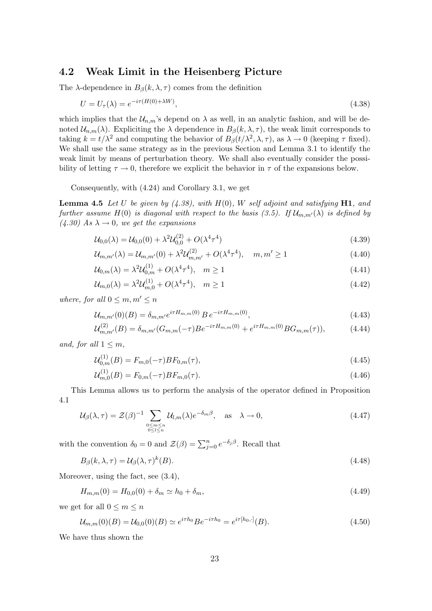### 4.2 Weak Limit in the Heisenberg Picture

The  $\lambda$ -dependence in  $B_{\beta}(k, \lambda, \tau)$  comes from the definition

$$
U = U_{\tau}(\lambda) = e^{-i\tau(H(0) + \lambda W)},\tag{4.38}
$$

which implies that the  $\mathcal{U}_{n,m}$ 's depend on  $\lambda$  as well, in an analytic fashion, and will be denoted  $\mathcal{U}_{n,m}(\lambda)$ . Expliciting the  $\lambda$  dependence in  $B_{\beta}(k,\lambda,\tau)$ , the weak limit corresponds to taking  $k = t/\lambda^2$  and computing the behavior of  $B_\beta(t/\lambda^2, \lambda, \tau)$ , as  $\lambda \to 0$  (keeping  $\tau$  fixed). We shall use the same strategy as in the previous Section and Lemma 3.1 to identify the weak limit by means of perturbation theory. We shall also eventually consider the possibility of letting  $\tau \to 0$ , therefore we explicit the behavior in  $\tau$  of the expansions below.

Consequently, with (4.24) and Corollary 3.1, we get

**Lemma 4.5** Let U be given by  $(4.38)$ , with  $H(0)$ , W self adjoint and satisfying H1, and further assume  $H(0)$  is diagonal with respect to the basis (3.5). If  $\mathcal{U}_{m,m'}(\lambda)$  is defined by  $(4.30)$  As  $\lambda \rightarrow 0$ , we get the expansions

$$
\mathcal{U}_{0,0}(\lambda) = \mathcal{U}_{0,0}(0) + \lambda^2 \mathcal{U}_{0,0}^{(2)} + O(\lambda^4 \tau^4)
$$
\n(4.39)

$$
\mathcal{U}_{m,m'}(\lambda) = \mathcal{U}_{m,m'}(0) + \lambda^2 \mathcal{U}_{m,m'}^{(2)} + O(\lambda^4 \tau^4), \quad m, m' \ge 1
$$
\n(4.40)

$$
\mathcal{U}_{0,m}(\lambda) = \lambda^2 \mathcal{U}_{0,m}^{(1)} + O(\lambda^4 \tau^4), \quad m \ge 1
$$
\n(4.41)

$$
\mathcal{U}_{m,0}(\lambda) = \lambda^2 \mathcal{U}_{m,0}^{(1)} + O(\lambda^4 \tau^4), \quad m \ge 1
$$
\n(4.42)

where, for all  $0 \leq m, m' \leq n$ 

$$
\mathcal{U}_{m,m'}(0)(B) = \delta_{m,m'} e^{i\tau H_{m,m}(0)} B e^{-i\tau H_{m,m}(0)}, \qquad (4.43)
$$

$$
\mathcal{U}_{m,m'}^{(2)}(B) = \delta_{m,m'}(G_{m,m}(-\tau)Be^{-i\tau H_{m,m}(0)} + e^{i\tau H_{m,m}(0)}BG_{m,m}(\tau)),\tag{4.44}
$$

and, for all  $1 \leq m$ ,

$$
\mathcal{U}_{0,m}^{(1)}(B) = F_{m,0}(-\tau)BF_{0,m}(\tau),\tag{4.45}
$$

$$
\mathcal{U}_{m,0}^{(1)}(B) = F_{0,m}(-\tau)BF_{m,0}(\tau). \tag{4.46}
$$

This Lemma allows us to perform the analysis of the operator defined in Proposition 4.1

$$
\mathcal{U}_{\beta}(\lambda,\tau) = \mathcal{Z}(\beta)^{-1} \sum_{\substack{0 \le m \le n \\ 0 \le l \le n}} \mathcal{U}_{l,m}(\lambda) e^{-\delta_m \beta}, \quad \text{as} \quad \lambda \to 0,
$$
\n(4.47)

with the convention  $\delta_0 = 0$  and  $\mathcal{Z}(\beta) = \sum_{j=0}^n e^{-\delta_j \beta}$ . Recall that

$$
B_{\beta}(k,\lambda,\tau) = \mathcal{U}_{\beta}(\lambda,\tau)^{k}(B). \tag{4.48}
$$

Moreover, using the fact, see (3.4),

$$
H_{m,m}(0) = H_{0,0}(0) + \delta_m \simeq h_0 + \delta_m, \tag{4.49}
$$

we get for all  $0 \leq m \leq n$ 

$$
\mathcal{U}_{m,m}(0)(B) = \mathcal{U}_{0,0}(0)(B) \simeq e^{i\tau h_0} B e^{-i\tau h_0} = e^{i\tau[h_0,\cdot]}(B). \tag{4.50}
$$

We have thus shown the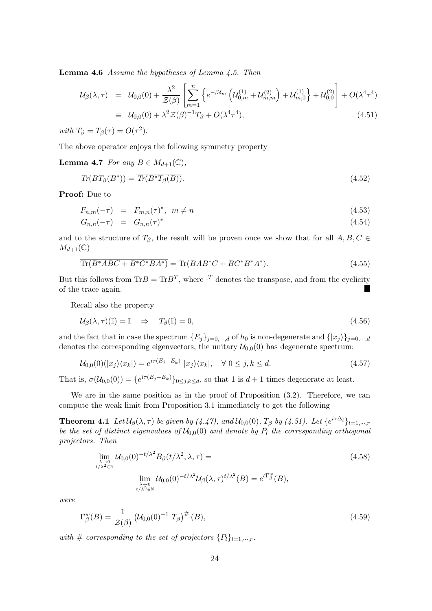Lemma 4.6 Assume the hypotheses of Lemma 4.5. Then

$$
\mathcal{U}_{\beta}(\lambda,\tau) = \mathcal{U}_{0,0}(0) + \frac{\lambda^2}{\mathcal{Z}(\beta)} \left[ \sum_{m=1}^n \left\{ e^{-\beta \delta_m} \left( \mathcal{U}_{0,m}^{(1)} + \mathcal{U}_{m,m}^{(2)} \right) + \mathcal{U}_{m,0}^{(1)} \right\} + \mathcal{U}_{0,0}^{(2)} \right] + O(\lambda^4 \tau^4)
$$
  
\n
$$
\equiv \mathcal{U}_{0,0}(0) + \lambda^2 \mathcal{Z}(\beta)^{-1} T_{\beta} + O(\lambda^4 \tau^4), \tag{4.51}
$$

with  $T_{\beta} = T_{\beta}(\tau) = O(\tau^2)$ .

The above operator enjoys the following symmetry property

### **Lemma 4.7** For any  $B \in M_{d+1}(\mathbb{C}),$

$$
Tr(BT_{\beta}(B^*)) = \overline{Tr(B^*T_{\beta}(B))}.
$$
\n(4.52)

Proof: Due to

$$
F_{n,m}(-\tau) = F_{m,n}(\tau)^*, \quad m \neq n \tag{4.53}
$$

$$
G_{n,n}(-\tau) = G_{n,n}(\tau)^* \tag{4.54}
$$

and to the structure of  $T_\beta$ , the result will be proven once we show that for all  $A, B, C \in$  $M_{d+1}(\mathbb{C})$ 

$$
\overline{\text{Tr}(B^*ABC + B^*C^*BA^*)} = \text{Tr}(BAB^*C + BC^*B^*A^*). \tag{4.55}
$$

But this follows from  $\text{Tr}B = \text{Tr}B^T$ , where  $\cdot^T$  denotes the transpose, and from the cyclicity of the trace again.

Recall also the property

$$
\mathcal{U}_{\beta}(\lambda,\tau)(\mathbb{I}) = \mathbb{I} \quad \Rightarrow \quad T_{\beta}(\mathbb{I}) = 0,\tag{4.56}
$$

and the fact that in case the spectrum  ${E_j}_{j=0,\dots,d}$  of  $h_0$  is non-degenerate and  $\{|x_j\rangle\}_{j=0,\dots,d}$ denotes the corresponding eigenvectors, the unitary  $\mathcal{U}_{0,0}(0)$  has degenerate spectrum:

$$
\mathcal{U}_{0,0}(0)(|x_j\rangle\langle x_k|) = e^{i\tau(E_j - E_k)} |x_j\rangle\langle x_k|, \quad \forall \ 0 \le j, k \le d. \tag{4.57}
$$

That is,  $\sigma(\mathcal{U}_{0,0}(0)) = \{e^{i\tau(E_j - E_k)}\}_{0 \leq j,k \leq d}$ , so that 1 is  $d+1$  times degenerate at least.

We are in the same position as in the proof of Proposition  $(3.2)$ . Therefore, we can compute the weak limit from Proposition 3.1 immediately to get the following

**Theorem 4.1** Let  $\mathcal{U}_{\beta}(\lambda,\tau)$  be given by (4.47), and  $\mathcal{U}_{0,0}(0)$ ,  $T_{\beta}$  by (4.51). Let  $\{e^{i\tau\Delta_l}\}_{l=1,\cdots,r}$ be the set of distinct eigenvalues of  $\mathcal{U}_{0,0}(0)$  and denote by  $P_l$  the corresponding orthogonal projectors. Then

$$
\lim_{\substack{\lambda \to 0 \\ t/\lambda^2 \in \mathbb{N}}} \mathcal{U}_{0,0}(0)^{-t/\lambda^2} B_{\beta}(t/\lambda^2, \lambda, \tau) =
$$
\n
$$
\lim_{\substack{\lambda \to 0 \\ \lambda \to 0 \\ t/\lambda^2 \in \mathbb{N}}} \mathcal{U}_{0,0}(0)^{-t/\lambda^2} \mathcal{U}_{\beta}(\lambda, \tau)^{t/\lambda^2}(B) = e^{t\Gamma_{\beta}^{w}}(B),
$$
\n(4.58)

were

$$
\Gamma_{\beta}^{w}(B) = \frac{1}{\mathcal{Z}(\beta)} \left( \mathcal{U}_{0,0}(0)^{-1} T_{\beta} \right)^{\#}(B), \tag{4.59}
$$

with  $\#$  corresponding to the set of projectors  $\{P_l\}_{l=1,\dots,r}$ .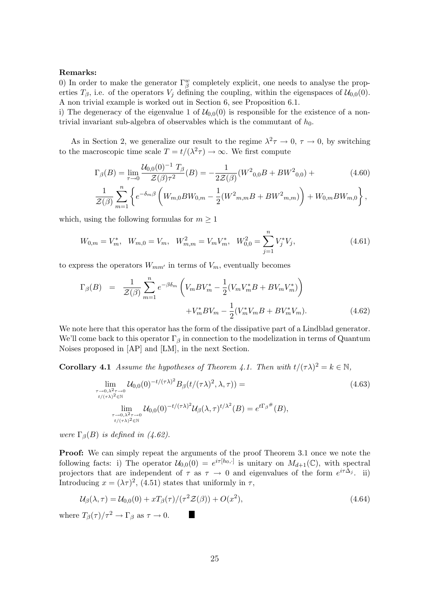#### Remarks:

0) In order to make the generator  $\Gamma^w_\beta$  completely explicit, one needs to analyse the properties  $T_{\beta}$ , i.e. of the operators  $V_i$  defining the coupling, within the eigenspaces of  $\mathcal{U}_{0,0}(0)$ . A non trivial example is worked out in Section 6, see Proposition 6.1.

i) The degeneracy of the eigenvalue 1 of  $\mathcal{U}_{0,0}(0)$  is responsible for the existence of a nontrivial invariant sub-algebra of observables which is the commutant of  $h_0$ .

As in Section 2, we generalize our result to the regime  $\lambda^2 \tau \to 0$ ,  $\tau \to 0$ , by switching to the macroscopic time scale  $T = t/(\lambda^2 \tau) \to \infty$ . We first compute

$$
\Gamma_{\beta}(B) = \lim_{\tau \to 0} \frac{\mathcal{U}_{0,0}(0)^{-1} T_{\beta}}{\mathcal{Z}(\beta) \tau^2} (B) = -\frac{1}{2\mathcal{Z}(\beta)} (W^2_{0,0} B + B W^2_{0,0}) +
$$
\n
$$
\frac{1}{\mathcal{Z}(\beta)} \sum_{m=1}^n \left\{ e^{-\delta_m \beta} \left( W_{m,0} B W_{0,m} - \frac{1}{2} (W^2_{m,m} B + B W^2_{m,m}) \right) + W_{0,m} B W_{m,0} \right\},
$$
\n(4.60)

which, using the following formulas for  $m \geq 1$ 

$$
W_{0,m} = V_m^*, \quad W_{m,0} = V_m, \quad W_{m,m}^2 = V_m V_m^*, \quad W_{0,0}^2 = \sum_{j=1}^n V_j^* V_j,\tag{4.61}
$$

to express the operators  $W_{mm'}$  in terms of  $V_m$ , eventually becomes

$$
\Gamma_{\beta}(B) = \frac{1}{\mathcal{Z}(\beta)} \sum_{m=1}^{n} e^{-\beta \delta_m} \left( V_m B V_m^* - \frac{1}{2} (V_m V_m^* B + B V_m V_m^*) \right) + V_m^* B V_m - \frac{1}{2} (V_m^* V_m B + B V_m^* V_m). \tag{4.62}
$$

We note here that this operator has the form of the dissipative part of a Lindblad generator. We'll come back to this operator  $\Gamma_{\beta}$  in connection to the modelization in terms of Quantum Noises proposed in [AP] and [LM], in the next Section.

**Corollary 4.1** Assume the hypotheses of Theorem 4.1. Then with  $t/(\tau \lambda)^2 = k \in \mathbb{N}$ ,

$$
\lim_{\substack{\tau \to 0,\lambda^2 \tau \to 0 \\ t/(\tau\lambda)^2 \in \mathbb{N} \\ \lim_{\tau \to 0,\lambda^2 \tau \to 0 \\ t/(\tau\lambda)^2 \in \mathbb{N}}} \mathcal{U}_{0,0}(0)^{-t/(\tau\lambda)^2} B_{\beta}(t/(\tau\lambda)^2, \lambda, \tau) =
$$
\n
$$
\lim_{\substack{\tau \to 0,\lambda^2 \tau \to 0 \\ t/(\tau\lambda)^2 \in \mathbb{N}}} \mathcal{U}_{0,0}(0)^{-t/(\tau\lambda)^2} \mathcal{U}_{\beta}(\lambda, \tau)^{t/\lambda^2}(B) = e^{t\Gamma_{\beta}^{\#}}(B),
$$
\n(4.63)

were  $\Gamma_{\beta}(B)$  is defined in (4.62).

Proof: We can simply repeat the arguments of the proof Theorem 3.1 once we note the following facts: i) The operator  $\mathcal{U}_{0,0}(0) = e^{i\tau[h_0,\cdot]}$  is unitary on  $M_{d+1}(\mathbb{C})$ , with spectral projectors that are independent of  $\tau$  as  $\tau \to 0$  and eigenvalues of the form  $e^{i\tau\Delta_j}$ . ii) Introducing  $x = (\lambda \tau)^2$ , (4.51) states that uniformly in  $\tau$ ,

$$
\mathcal{U}_{\beta}(\lambda,\tau) = \mathcal{U}_{0,0}(0) + xT_{\beta}(\tau)/(\tau^2 \mathcal{Z}(\beta)) + O(x^2),\tag{4.64}
$$

where  $T_{\beta}(\tau)/\tau^2 \to \Gamma_{\beta}$  as  $\tau \to 0$ .

I.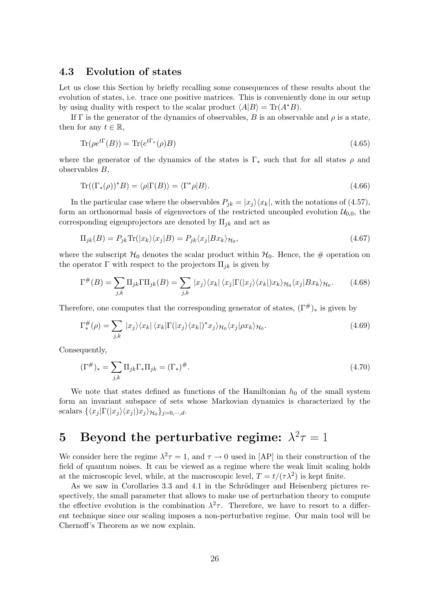## 4.3 Evolution of states

Let us close this Section by briefly recalling some consequences of these results about the evolution of states, i.e. trace one positive matrices. This is conveniently done in our setup by using duality with respect to the scalar product  $\langle A|B \rangle = \text{Tr}(A^*B)$ .

If  $\Gamma$  is the generator of the dynamics of observables, B is an observable and  $\rho$  is a state, then for any  $t \in \mathbb{R}$ ,

$$
\operatorname{Tr}(\rho e^{t\Gamma}(B)) = \operatorname{Tr}(e^{t\Gamma_*}(\rho)B) \tag{4.65}
$$

where the generator of the dynamics of the states is  $\Gamma_*$  such that for all states  $\rho$  and observables B,

$$
\operatorname{Tr}((\Gamma_*(\rho))^*B) = \langle \rho | \Gamma(B) \rangle = \langle \Gamma^* \rho | B \rangle. \tag{4.66}
$$

In the particular case where the observables  $P_{jk} = |x_j\rangle\langle x_k|$ , with the notations of (4.57), form an orthonormal basis of eigenvectors of the restricted uncoupled evolution  $\mathcal{U}_{0,0}$ , the corresponding eigenprojectors are denoted by  $\Pi_{ik}$  and act as

$$
\Pi_{jk}(B) = P_{jk}\text{Tr}(|x_k\rangle\langle x_j|B) = P_{jk}\langle x_j|Bx_k\rangle_{\mathcal{H}_0},\tag{4.67}
$$

where the subscript  $\mathcal{H}_0$  denotes the scalar product within  $\mathcal{H}_0$ . Hence, the # operation on the operator  $\Gamma$  with respect to the projectors  $\Pi_{jk}$  is given by

$$
\Gamma^{\#}(B) = \sum_{j,k} \Pi_{jk} \Gamma \Pi_{jk}(B) = \sum_{j,k} |x_j\rangle\langle x_k| \langle x_j| \Gamma(|x_j\rangle\langle x_k|) x_k \rangle_{\mathcal{H}_0} \langle x_j| B x_k \rangle_{\mathcal{H}_0}.
$$
 (4.68)

Therefore, one computes that the corresponding generator of states,  $(\Gamma^{\#})_*$  is given by

$$
\Gamma_{*}^{\#}(\rho) = \sum_{j,k} |x_j\rangle\langle x_k| \langle x_k|\Gamma(|x_j\rangle\langle x_k|)^* x_j\rangle_{\mathcal{H}_0} \langle x_j|\rho x_k\rangle_{\mathcal{H}_0}.\tag{4.69}
$$

Consequently,

$$
(\Gamma^{\#})_{*} = \sum_{j,k} \Pi_{jk} \Gamma_{*} \Pi_{jk} = (\Gamma_{*})^{\#}.
$$
\n(4.70)

We note that states defined as functions of the Hamiltonian  $h_0$  of the small system form an invariant subspace of sets whose Markovian dynamics is characterized by the scalars  $\{\langle x_j | \Gamma(|x_j\rangle\langle x_j|) x_j \rangle_{\mathcal{H}_0}\}_{j=0,\cdots,d}.$ 

# 5 Beyond the perturbative regime:  $\lambda^2 \tau = 1$

We consider here the regime  $\lambda^2 \tau = 1$ , and  $\tau \to 0$  used in [AP] in their construction of the field of quantum noises. It can be viewed as a regime where the weak limit scaling holds at the microscopic level, while, at the macroscopic level,  $T = t/(\tau \lambda^2)$  is kept finite.

As we saw in Corollaries 3.3 and 4.1 in the Schrödinger and Heisenberg pictures respectively, the small parameter that allows to make use of perturbation theory to compute the effective evolution is the combination  $\lambda^2 \tau$ . Therefore, we have to resort to a different technique since our scaling imposes a non-perturbative regime. Our main tool will be Chernoff's Theorem as we now explain.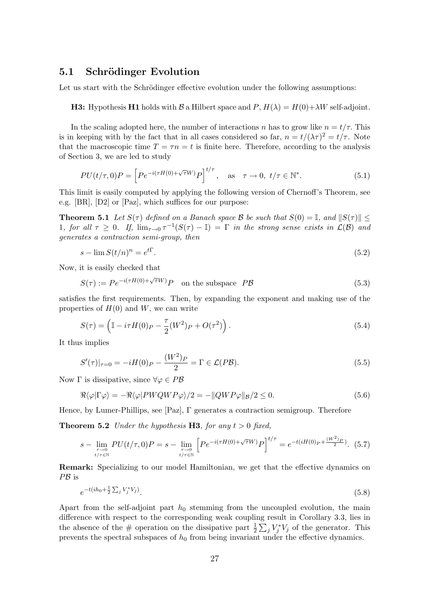### 5.1 Schrödinger Evolution

Let us start with the Schrödinger effective evolution under the following assumptions:

**H3:** Hypothesis H1 holds with B a Hilbert space and P,  $H(\lambda) = H(0) + \lambda W$  self-adjoint.

In the scaling adopted here, the number of interactions n has to grow like  $n = t/\tau$ . This is in keeping with by the fact that in all cases considered so far,  $n = t/(\lambda \tau)^2 = t/\tau$ . Note that the macroscopic time  $T = \tau n = t$  is finite here. Therefore, according to the analysis of Section 3, we are led to study

$$
PU(t/\tau,0)P = \left[Pe^{-i(\tau H(0) + \sqrt{\tau}W)}P\right]^{t/\tau}, \quad \text{as} \quad \tau \to 0, \ t/\tau \in \mathbb{N}^*.
$$
 (5.1)

This limit is easily computed by applying the following version of Chernoff's Theorem, see e.g. [BR], [D2] or [Paz], which suffices for our purpose:

**Theorem 5.1** Let  $S(\tau)$  defined on a Banach space B be such that  $S(0) = \mathbb{I}$ , and  $||S(\tau)||$ 1, for all  $\tau \geq 0$ . If,  $\lim_{\tau \to 0} \tau^{-1}(S(\tau) - \mathbb{I}) = \Gamma$  in the strong sense exists in  $\mathcal{L}(\mathcal{B})$  and generates a contraction semi-group, then

$$
s - \lim S(t/n)^n = e^{t\Gamma}.
$$
\n
$$
(5.2)
$$

Now, it is easily checked that

$$
S(\tau) := Pe^{-i(\tau H(0) + \sqrt{\tau}W)}P \quad \text{on the subspace } P\mathcal{B}
$$
 (5.3)

satisfies the first requirements. Then, by expanding the exponent and making use of the properties of  $H(0)$  and W, we can write

$$
S(\tau) = \left(\mathbb{I} - i\tau H(0)P - \frac{\tau}{2}(W^2)P + O(\tau^2)\right). \tag{5.4}
$$

It thus implies

$$
S'(\tau)|_{\tau=0} = -iH(0)_P - \frac{(W^2)_P}{2} = \Gamma \in \mathcal{L}(P\mathcal{B}).
$$
\n(5.5)

Now  $\Gamma$  is dissipative, since  $\forall \varphi \in P\mathcal{B}$ 

$$
\Re\langle\varphi|\Gamma\varphi\rangle = -\Re\langle\varphi|PWQWP\varphi\rangle/2 = -\|QWP\varphi\|_{\mathcal{B}}/2 \le 0.
$$
\n(5.6)

Hence, by Lumer-Phillips, see [Paz], Γ generates a contraction semigroup. Therefore

**Theorem 5.2** Under the hypothesis H3, for any  $t > 0$  fixed,

$$
s - \lim_{\substack{\tau \to 0 \\ t/\tau \in \mathbb{N}}} PU(t/\tau, 0)P = s - \lim_{\substack{\tau \to 0 \\ t/\tau \in \mathbb{N}}} \left[ Pe^{-i(\tau H(0) + \sqrt{\tau}W)} P \right]^{t/\tau} = e^{-t(iH(0)P + \frac{(W^2)P}{2})}. (5.7)
$$

Remark: Specializing to our model Hamiltonian, we get that the effective dynamics on PB is

$$
e^{-t(ih_0 + \frac{1}{2}\sum_j V_j^* V_j)}.
$$
\n(5.8)

Apart from the self-adjoint part  $h_0$  stemming from the uncoupled evolution, the main difference with respect to the corresponding weak coupling result in Corollary 3.3, lies in the absence of the # operation on the dissipative part  $\frac{1}{2} \sum_j V_j^* V_j$  of the generator. This prevents the spectral subspaces of  $h_0$  from being invariant under the effective dynamics.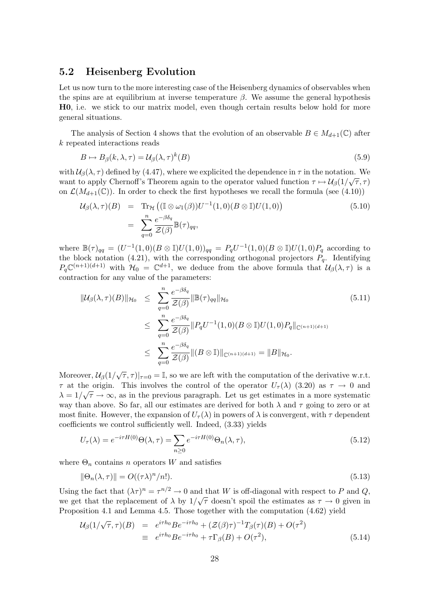## 5.2 Heisenberg Evolution

Let us now turn to the more interesting case of the Heisenberg dynamics of observables when the spins are at equilibrium at inverse temperature  $\beta$ . We assume the general hypothesis H0, i.e. we stick to our matrix model, even though certain results below hold for more general situations.

The analysis of Section 4 shows that the evolution of an observable  $B \in M_{d+1}(\mathbb{C})$  after k repeated interactions reads

$$
B \mapsto B_{\beta}(k, \lambda, \tau) = \mathcal{U}_{\beta}(\lambda, \tau)^{k}(B)
$$
\n(5.9)

with  $\mathcal{U}_{\beta}(\lambda, \tau)$  defined by (4.47), where we explicited the dependence in  $\tau$  in the notation. We want to apply Chernoff's Theorem again to the operator valued function  $\tau \mapsto \mathcal{U}_{\beta}(1/\sqrt{\tau}, \tau)$ on  $\mathcal{L}(M_{d+1}(\mathbb{C}))$ . In order to check the first hypotheses we recall the formula (see (4.10))

$$
\mathcal{U}_{\beta}(\lambda,\tau)(B) = \text{Tr}_{\mathcal{H}}\left( (\mathbb{I} \otimes \omega_1(\beta))U^{-1}(1,0)(B \otimes \mathbb{I})U(1,0) \right)
$$
\n
$$
= \sum_{q=0}^{n} \frac{e^{-\beta \delta_q}}{\mathcal{Z}(\beta)} \mathbb{B}(\tau)_{qq},
$$
\n(5.10)

where  $\mathbb{B}(\tau)_{qq} = (U^{-1}(1,0)(B \otimes \mathbb{I})U(1,0))_{qq} = P_q U^{-1}(1,0)(B \otimes \mathbb{I})U(1,0)P_q$  according to the block notation (4.21), with the corresponding orthogonal projectors  $P<sub>q</sub>$ . Identifying  $P_q\mathbb{C}^{(n+1)(d+1)}$  with  $\mathcal{H}_0 = \mathbb{C}^{d+1}$ , we deduce from the above formula that  $\mathcal{U}_{\beta}(\lambda, \tau)$  is a contraction for any value of the parameters:

$$
\|\mathcal{U}_{\beta}(\lambda,\tau)(B)\|_{\mathcal{H}_{0}} \leq \sum_{q=0}^{n} \frac{e^{-\beta \delta_{q}}}{\mathcal{Z}(\beta)} \|\mathbb{B}(\tau)_{qq}\|_{\mathcal{H}_{0}} \tag{5.11}
$$

$$
\leq \sum_{q=0}^{n} \frac{e^{-\beta \delta_{q}}}{\mathcal{Z}(\beta)} \|P_{q}U^{-1}(1,0)(B \otimes \mathbb{I})U(1,0)P_{q}\|_{\mathbb{C}^{(n+1)(d+1)}}
$$

$$
\leq \sum_{q=0}^{n} \frac{e^{-\beta \delta_{q}}}{\mathcal{Z}(\beta)} \|(B \otimes \mathbb{I})\|_{\mathbb{C}^{(n+1)(d+1)}} = \|B\|_{\mathcal{H}_{0}}.
$$

Moreover,  $\mathcal{U}_{\beta}(1/\sqrt{\tau}, \tau)|_{\tau=0} = \mathbb{I}$ , so we are left with the computation of the derivative w.r.t.  $\tau$  at the origin. This involves the control of the operator  $U_{\tau}(\lambda)$  (3.20) as  $\tau \to 0$  and  $\lambda = 1/\sqrt{\tau} \to \infty$ , as in the previous paragraph. Let us get estimates in a more systematic way than above. So far, all our estimates are derived for both  $\lambda$  and  $\tau$  going to zero or at most finite. However, the expansion of  $U_\tau(\lambda)$  in powers of  $\lambda$  is convergent, with  $\tau$  dependent coefficients we control sufficiently well. Indeed, (3.33) yields

$$
U_{\tau}(\lambda) = e^{-i\tau H(0)} \Theta(\lambda, \tau) = \sum_{n \ge 0} e^{-i\tau H(0)} \Theta_n(\lambda, \tau), \qquad (5.12)
$$

where  $\Theta_n$  contains n operators W and satisfies

$$
\|\Theta_n(\lambda,\tau)\| = O((\tau\lambda)^n/n!).\tag{5.13}
$$

Using the fact that  $(\lambda \tau)^n = \tau^{n/2} \to 0$  and that W is off-diagonal with respect to P and Q, we get that the replacement of  $\lambda$  by  $1/\sqrt{\tau}$  doesn't spoil the estimates as  $\tau \to 0$  given in Proposition 4.1 and Lemma 4.5. Those together with the computation (4.62) yield

$$
\mathcal{U}_{\beta}(1/\sqrt{\tau},\tau)(B) = e^{i\tau h_0}Be^{-i\tau h_0} + (\mathcal{Z}(\beta)\tau)^{-1}T_{\beta}(\tau)(B) + O(\tau^2)
$$
  
\n
$$
\equiv e^{i\tau h_0}Be^{-i\tau h_0} + \tau\Gamma_{\beta}(B) + O(\tau^2), \tag{5.14}
$$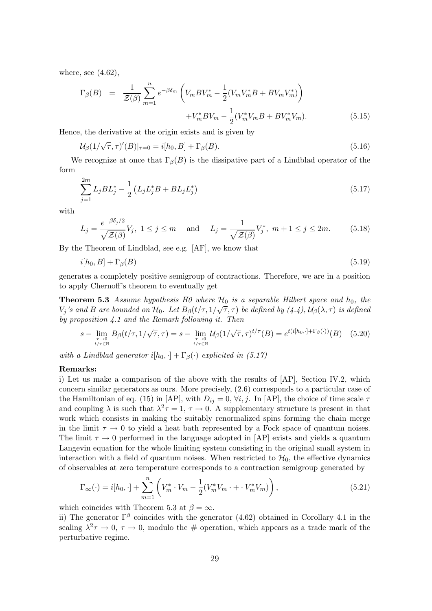where, see  $(4.62)$ ,

$$
\Gamma_{\beta}(B) = \frac{1}{\mathcal{Z}(\beta)} \sum_{m=1}^{n} e^{-\beta \delta_{m}} \left( V_{m} B V_{m}^{*} - \frac{1}{2} (V_{m} V_{m}^{*} B + B V_{m} V_{m}^{*}) \right) + V_{m}^{*} B V_{m} - \frac{1}{2} (V_{m}^{*} V_{m} B + B V_{m}^{*} V_{m}). \tag{5.15}
$$

Hence, the derivative at the origin exists and is given by

$$
\mathcal{U}_{\beta}(1/\sqrt{\tau}, \tau)'(B)|_{\tau=0} = i[h_0, B] + \Gamma_{\beta}(B). \tag{5.16}
$$

We recognize at once that  $\Gamma_\beta(B)$  is the dissipative part of a Lindblad operator of the form

$$
\sum_{j=1}^{2m} L_j B L_j^* - \frac{1}{2} \left( L_j L_j^* B + B L_j L_j^* \right) \tag{5.17}
$$

with

$$
L_j = \frac{e^{-\beta \delta_j/2}}{\sqrt{\mathcal{Z}(\beta)}} V_j, \ 1 \le j \le m \quad \text{and} \quad L_j = \frac{1}{\sqrt{\mathcal{Z}(\beta)}} V_j^*, \ m+1 \le j \le 2m. \tag{5.18}
$$

By the Theorem of Lindblad, see e.g. [AF], we know that

$$
i[h_0, B] + \Gamma_{\beta}(B) \tag{5.19}
$$

generates a completely positive semigroup of contractions. Therefore, we are in a position to apply Chernoff's theorem to eventually get

**Theorem 5.3** Assume hypothesis H0 where  $\mathcal{H}_0$  is a separable Hilbert space and  $h_0$ , the  $V_j$ 's and B are bounded on  $\mathcal{H}_0$ . Let  $B_\beta(t/\tau,1/\sqrt{\tau},\tau)$  be defined by  $(4.4)$ ,  $\mathcal{U}_\beta(\lambda,\tau)$  is defined by proposition 4.1 and the Remark following it. Then

$$
s - \lim_{\substack{\tau \to 0 \\ t/\tau \in \mathbb{N}}} B_{\beta}(t/\tau, 1/\sqrt{\tau}, \tau) = s - \lim_{\substack{\tau \to 0 \\ t/\tau \in \mathbb{N}}} \mathcal{U}_{\beta}(1/\sqrt{\tau}, \tau)^{t/\tau}(B) = e^{t(i[h_0, \cdot] + \Gamma_{\beta}(\cdot))}(B) \quad (5.20)
$$

with a Lindblad generator  $i[h_0, \cdot] + \Gamma_\beta(\cdot)$  explicited in (5.17)

### Remarks:

i) Let us make a comparison of the above with the results of [AP], Section IV.2, which concern similar generators as ours. More precisely, (2.6) corresponds to a particular case of the Hamiltonian of eq. (15) in [AP], with  $D_{ij} = 0$ ,  $\forall i, j$ . In [AP], the choice of time scale  $\tau$ and coupling  $\lambda$  is such that  $\lambda^2 \tau = 1$ ,  $\tau \to 0$ . A supplementary structure is present in that work which consists in making the suitably renormalized spins forming the chain merge in the limit  $\tau \to 0$  to yield a heat bath represented by a Fock space of quantum noises. The limit  $\tau \rightarrow 0$  performed in the language adopted in [AP] exists and yields a quantum Langevin equation for the whole limiting system consisting in the original small system in interaction with a field of quantum noises. When restricted to  $\mathcal{H}_0$ , the effective dynamics of observables at zero temperature corresponds to a contraction semigroup generated by

$$
\Gamma_{\infty}(\cdot) = i[h_0, \cdot] + \sum_{m=1}^{n} \left( V_m^* \cdot V_m - \frac{1}{2} (V_m^* V_m \cdot + \cdot V_m^* V_m) \right), \tag{5.21}
$$

which coincides with Theorem 5.3 at  $\beta = \infty$ .

ii) The generator  $\Gamma^{\beta}$  coincides with the generator (4.62) obtained in Corollary 4.1 in the scaling  $\lambda^2 \tau \to 0$ ,  $\tau \to 0$ , modulo the # operation, which appears as a trade mark of the perturbative regime.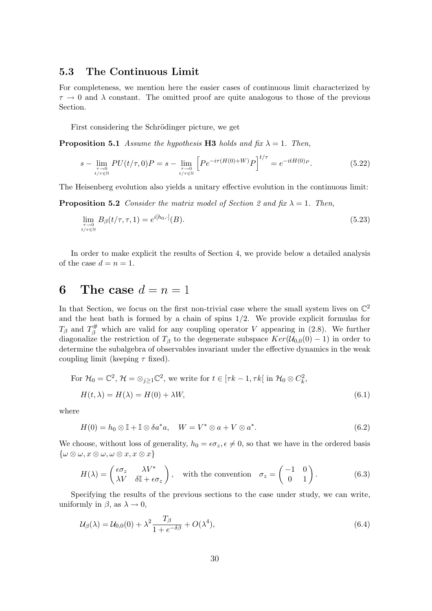## 5.3 The Continuous Limit

For completeness, we mention here the easier cases of continuous limit characterized by  $\tau \to 0$  and  $\lambda$  constant. The omitted proof are quite analogous to those of the previous Section.

First considering the Schrödinger picture, we get

**Proposition 5.1** Assume the hypothesis H3 holds and fix  $\lambda = 1$ . Then,

$$
s - \lim_{\substack{\tau \to 0 \\ t/\tau \in \mathbb{N}}} PU(t/\tau, 0)P = s - \lim_{\substack{\tau \to 0 \\ t/\tau \in \mathbb{N}}} \left[ Pe^{-i\tau(H(0) + W)} P \right]^{t/\tau} = e^{-itH(0)P}.
$$
 (5.22)

The Heisenberg evolution also yields a unitary effective evolution in the continuous limit:

**Proposition 5.2** Consider the matrix model of Section 2 and fix  $\lambda = 1$ . Then,

$$
\lim_{\substack{\tau \to 0 \\ t/\tau \in \mathbb{N}}} B_{\beta}(t/\tau, \tau, 1) = e^{i[h_0, \cdot]}(B). \tag{5.23}
$$

In order to make explicit the results of Section 4, we provide below a detailed analysis of the case  $d = n = 1$ .

# 6 The case  $d = n = 1$

In that Section, we focus on the first non-trivial case where the small system lives on  $\mathbb{C}^2$ and the heat bath is formed by a chain of spins  $1/2$ . We provide explicit formulas for  $T_\beta$  and  $T_\beta^{\#}$  which are valid for any coupling operator V appearing in (2.8). We further diagonalize the restriction of  $T_\beta$  to the degenerate subspace  $Ker(\mathcal{U}_{0,0}(0) - 1)$  in order to determine the subalgebra of observables invariant under the effective dynamics in the weak coupling limit (keeping  $\tau$  fixed).

For 
$$
\mathcal{H}_0 = \mathbb{C}^2
$$
,  $\mathcal{H} = \otimes_{j\geq 1} \mathbb{C}^2$ , we write for  $t \in [\tau k - 1, \tau k]$  in  $\mathcal{H}_0 \otimes C_k^2$ ,  
\n
$$
H(t, \lambda) = H(\lambda) = H(0) + \lambda W,
$$
\n(6.1)

where

$$
H(0) = h_0 \otimes \mathbb{I} + \mathbb{I} \otimes \delta a^* a, \quad W = V^* \otimes a + V \otimes a^*.
$$
 (6.2)

We choose, without loss of generality,  $h_0 = \epsilon \sigma_z, \epsilon \neq 0$ , so that we have in the ordered basis  $\{\omega\otimes\omega,x\otimes\omega,\omega\otimes x,x\otimes x\}$ 

$$
H(\lambda) = \begin{pmatrix} \epsilon \sigma_z & \lambda V^* \\ \lambda V & \delta \mathbb{I} + \epsilon \sigma_z \end{pmatrix}, \quad \text{with the convention} \quad \sigma_z = \begin{pmatrix} -1 & 0 \\ 0 & 1 \end{pmatrix}.
$$
 (6.3)

Specifying the results of the previous sections to the case under study, we can write, uniformly in  $\beta$ , as  $\lambda \to 0$ ,

$$
\mathcal{U}_{\beta}(\lambda) = \mathcal{U}_{0,0}(0) + \lambda^2 \frac{T_{\beta}}{1 + e^{-\delta\beta}} + O(\lambda^4),\tag{6.4}
$$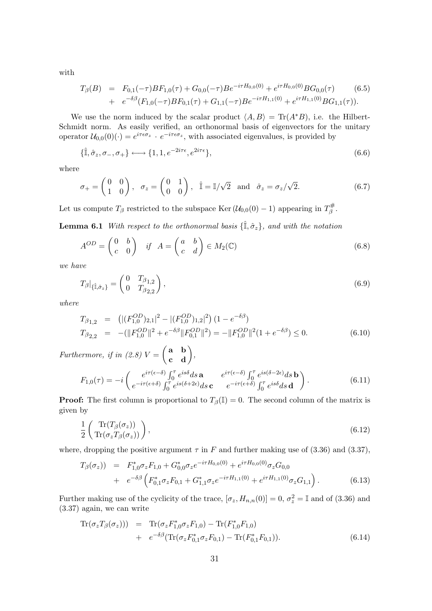with

$$
T_{\beta}(B) = F_{0,1}(-\tau)BF_{1,0}(\tau) + G_{0,0}(-\tau)Be^{-i\tau H_{0,0}(0)} + e^{i\tau H_{0,0}(0)}BG_{0,0}(\tau)
$$
  
+ 
$$
e^{-\delta\beta}(F_{1,0}(-\tau)BF_{0,1}(\tau) + G_{1,1}(-\tau)Be^{-i\tau H_{1,1}(0)} + e^{i\tau H_{1,1}(0)}BG_{1,1}(\tau)).
$$
 (6.5)

We use the norm induced by the scalar product  $\langle A, B \rangle = \text{Tr}(A^*B)$ , i.e. the Hilbert-Schmidt norm. As easily verified, an orthonormal basis of eigenvectors for the unitary operator  $\mathcal{U}_{0,0}(0)(\cdot) = e^{i\tau \epsilon \sigma_z} \cdot e^{-i\tau \epsilon \sigma_z}$ , with associated eigenvalues, is provided by

$$
\{\hat{\mathbb{I}}, \hat{\sigma}_z, \sigma_-, \sigma_+\} \longleftrightarrow \{1, 1, e^{-2i\tau\epsilon}, e^{2i\tau\epsilon}\},\tag{6.6}
$$

where

$$
\sigma_+ = \begin{pmatrix} 0 & 0 \\ 1 & 0 \end{pmatrix}, \quad \sigma_z = \begin{pmatrix} 0 & 1 \\ 0 & 0 \end{pmatrix}, \quad \hat{\mathbb{I}} = \mathbb{I}/\sqrt{2} \quad \text{and} \quad \hat{\sigma}_z = \sigma_z/\sqrt{2}.
$$
 (6.7)

Let us compute  $T_\beta$  restricted to the subspace Ker  $(\mathcal{U}_{0,0}(0) - 1)$  appearing in  $T_\beta^{\#}$ ,#<br>β

**Lemma 6.1** With respect to the orthonormal basis  $\{\hat{\mathbb{I}}, \hat{\sigma}_z\}$ , and with the notation

$$
A^{OD} = \begin{pmatrix} 0 & b \\ c & 0 \end{pmatrix} \quad \text{if} \quad A = \begin{pmatrix} a & b \\ c & d \end{pmatrix} \in M_2(\mathbb{C}) \tag{6.8}
$$

we have

$$
T_{\beta}|_{\{\hat{\mathbb{I}},\hat{\sigma}_z\}} = \begin{pmatrix} 0 & T_{\beta_{1,2}} \\ 0 & T_{\beta_{2,2}} \end{pmatrix},\tag{6.9}
$$

where

$$
T_{\beta_{1,2}} = (|(F_{1,0}^{OD})_{2,1}|^2 - |(F_{1,0}^{OD})_{1,2}|^2) (1 - e^{-\delta \beta})
$$
  
\n
$$
T_{\beta_{2,2}} = -(\|F_{1,0}^{OD}\|^2 + e^{-\delta \beta} \|F_{0,1}^{OD}\|^2) = -\|F_{1,0}^{OD}\|^2 (1 + e^{-\delta \beta}) \le 0.
$$
\n(6.10)

Furthermore, if in (2.8)  $V = \begin{pmatrix} \mathbf{a} & \mathbf{b} \\ \mathbf{c} & \mathbf{d} \end{pmatrix}$ ,

$$
F_{1,0}(\tau) = -i \begin{pmatrix} e^{i\tau(\epsilon-\delta)} \int_0^{\tau} e^{is\delta} ds \,\mathbf{a} & e^{i\tau(\epsilon-\delta)} \int_0^{\tau} e^{is(\delta-2\epsilon)} ds \,\mathbf{b} \\ e^{-i\tau(\epsilon+\delta)} \int_0^{\tau} e^{is(\delta+2\epsilon)} ds \,\mathbf{c} & e^{-i\tau(\epsilon+\delta)} \int_0^{\tau} e^{is\delta} ds \,\mathbf{d} \end{pmatrix} . \tag{6.11}
$$

**Proof:** The first column is proportional to  $T_\beta(\mathbb{I}) = 0$ . The second column of the matrix is given by

$$
\frac{1}{2} \left( \frac{\text{Tr}(T_{\beta}(\sigma_z))}{\text{Tr}(\sigma_z T_{\beta}(\sigma_z))} \right),\tag{6.12}
$$

where, dropping the positive argument  $\tau$  in F and further making use of (3.36) and (3.37),

$$
T_{\beta}(\sigma_z) = F_{1,0}^* \sigma_z F_{1,0} + G_{0,0}^* \sigma_z e^{-i\tau H_{0,0}(0)} + e^{i\tau H_{0,0}(0)} \sigma_z G_{0,0}
$$
  
+ 
$$
e^{-\delta \beta} \left( F_{0,1}^* \sigma_z F_{0,1} + G_{1,1}^* \sigma_z e^{-i\tau H_{1,1}(0)} + e^{i\tau H_{1,1}(0)} \sigma_z G_{1,1} \right).
$$
(6.13)

Further making use of the cyclicity of the trace,  $[\sigma_z, H_{n,n}(0)] = 0$ ,  $\sigma_z^2 = \mathbb{I}$  and of (3.36) and (3.37) again, we can write

$$
\operatorname{Tr}(\sigma_z T_\beta(\sigma_z))) = \operatorname{Tr}(\sigma_z F_{1,0}^* \sigma_z F_{1,0}) - \operatorname{Tr}(F_{1,0}^* F_{1,0}) \n+ e^{-\delta \beta} (\operatorname{Tr}(\sigma_z F_{0,1}^* \sigma_z F_{0,1}) - \operatorname{Tr}(F_{0,1}^* F_{0,1})).
$$
\n(6.14)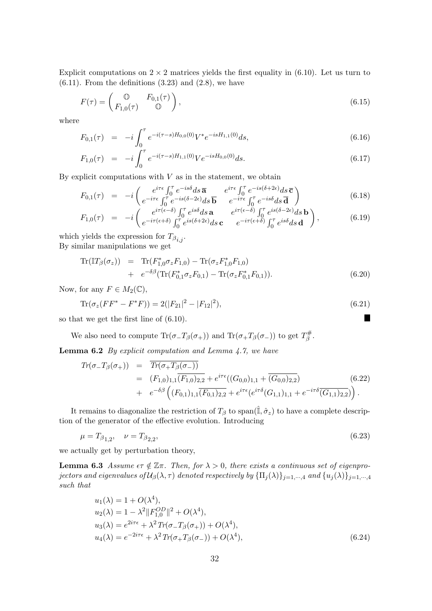Explicit computations on  $2 \times 2$  matrices yields the first equality in (6.10). Let us turn to  $(6.11)$ . From the definitions  $(3.23)$  and  $(2.8)$ , we have

$$
F(\tau) = \begin{pmatrix} \mathbb{O} & F_{0,1}(\tau) \\ F_{1,0}(\tau) & \mathbb{O} \end{pmatrix},\tag{6.15}
$$

where

$$
F_{0,1}(\tau) = -i \int_0^{\tau} e^{-i(\tau - s)H_{0,0}(0)} V^* e^{-isH_{1,1}(0)} ds,
$$
\n(6.16)

$$
F_{1,0}(\tau) = -i \int_0^{\tau} e^{-i(\tau - s)H_{1,1}(0)} V e^{-isH_{0,0}(0)} ds.
$$
\n(6.17)

By explicit computations with  $V$  as in the statement, we obtain

$$
F_{0,1}(\tau) = -i \begin{pmatrix} e^{i\tau\epsilon} \int_0^{\tau} e^{-is\delta} ds \overline{\mathbf{a}} & e^{i\tau\epsilon} \int_0^{\tau} e^{-is(\delta+2\epsilon)} ds \overline{\mathbf{c}} \\ e^{-i\tau\epsilon} \int_0^{\tau} e^{-is(\delta-2\epsilon)} ds \overline{\mathbf{b}} & e^{-i\tau\epsilon} \int_0^{\tau} e^{-is\delta} ds \overline{\mathbf{d}} \end{pmatrix}
$$
(6.18)

$$
F_{1,0}(\tau) = -i \begin{pmatrix} e^{i\tau(\epsilon-\delta)} \int_0^{\tau} e^{is\delta} ds \mathbf{a} & e^{i\tau(\epsilon-\delta)} \int_0^{\tau} e^{is(\delta-2\epsilon)} ds \mathbf{b} \\ e^{-i\tau(\epsilon+\delta)} \int_0^{\tau} e^{is(\delta+2\epsilon)} ds \mathbf{c} & e^{-i\tau(\epsilon+\delta)} \int_0^{\tau} e^{is\delta} ds \mathbf{d} \end{pmatrix}, \tag{6.19}
$$

which yields the expression for  $T_{\beta_{i,j}}$ . By similar manipulations we get

$$
\text{Tr}(\mathbb{I}T_{\beta}(\sigma_z)) = \text{Tr}(F_{1,0}^*\sigma_z F_{1,0}) - \text{Tr}(\sigma_z F_{1,0}^* F_{1,0}) \n+ e^{-\delta\beta}(\text{Tr}(F_{0,1}^*\sigma_z F_{0,1}) - \text{Tr}(\sigma_z F_{0,1}^* F_{0,1})).
$$
\n(6.20)

Now, for any  $F \in M_2(\mathbb{C}),$ 

$$
\text{Tr}(\sigma_z(FF^* - F^*F)) = 2(|F_{21}|^2 - |F_{12}|^2),\tag{6.21}
$$

Ш

so that we get the first line of (6.10).

We also need to compute  $\text{Tr}(\sigma_- T_\beta(\sigma_+))$  and  $\text{Tr}(\sigma_+ T_\beta(\sigma_-))$  to get  $T_\beta^{\#}$ ,#<br>β

**Lemma 6.2** By explicit computation and Lemma  $4.7$ , we have

$$
Tr(\sigma_{-}T_{\beta}(\sigma_{+})) = \overline{Tr(\sigma_{+}T_{\beta}(\sigma_{-}))}
$$
  
\n
$$
= (F_{1,0})_{1,1} \overline{(F_{1,0})_{2,2}} + e^{i\tau\epsilon}((G_{0,0})_{1,1} + \overline{(G_{0,0})_{2,2}})
$$
  
\n
$$
+ e^{-\delta\beta} ((F_{0,1})_{1,1} \overline{(F_{0,1})_{2,2}} + e^{i\tau\epsilon} (e^{i\tau\delta}(G_{1,1})_{1,1} + e^{-i\tau\delta} \overline{(G_{1,1})_{2,2}})).
$$
\n(6.22)

It remains to diagonalize the restriction of  $T_\beta$  to span( $\hat{\mathbb{I}}, \hat{\sigma}_z$ ) to have a complete description of the generator of the effective evolution. Introducing

$$
\mu = T_{\beta_{1,2}}, \quad \nu = T_{\beta_{2,2}}, \tag{6.23}
$$

we actually get by perturbation theory,

**Lemma 6.3** Assume  $\epsilon \tau \notin \mathbb{Z}\pi$ . Then, for  $\lambda > 0$ , there exists a continuous set of eigenprojectors and eigenvalues of  $\mathcal{U}_{\beta}(\lambda,\tau)$  denoted respectively by  $\{\Pi_j(\lambda)\}_{j=1,\cdots,4}$  and  $\{u_j(\lambda)\}_{j=1,\cdots,4}$ such that

$$
u_1(\lambda) = 1 + O(\lambda^4), u_2(\lambda) = 1 - \lambda^2 \|F_{1,0}^{OD}\|^2 + O(\lambda^4), u_3(\lambda) = e^{2i\tau\epsilon} + \lambda^2 Tr(\sigma_- T_\beta(\sigma_+)) + O(\lambda^4), u_4(\lambda) = e^{-2i\tau\epsilon} + \lambda^2 Tr(\sigma_+ T_\beta(\sigma_-)) + O(\lambda^4),
$$
\n(6.24)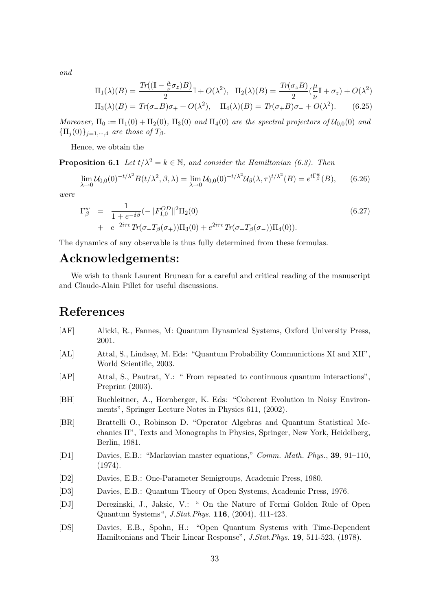and

$$
\Pi_1(\lambda)(B) = \frac{\operatorname{Tr}((\mathbb{I} - \frac{\mu}{\nu}\sigma_z)B)}{2}\mathbb{I} + O(\lambda^2), \quad \Pi_2(\lambda)(B) = \frac{\operatorname{Tr}(\sigma_z B)}{2}(\frac{\mu}{\nu}\mathbb{I} + \sigma_z) + O(\lambda^2)
$$

$$
\Pi_3(\lambda)(B) = \operatorname{Tr}(\sigma - B)\sigma_+ + O(\lambda^2), \quad \Pi_4(\lambda)(B) = \operatorname{Tr}(\sigma_+ B)\sigma_- + O(\lambda^2). \tag{6.25}
$$

Moreover,  $\Pi_0 := \Pi_1(0) + \Pi_2(0)$ ,  $\Pi_3(0)$  and  $\Pi_4(0)$  are the spectral projectors of  $\mathcal{U}_{0,0}(0)$  and  ${\{\Pi_i(0)\}}_{i=1,\cdots,4}$  are those of  $T_\beta$ .

Hence, we obtain the

**Proposition 6.1** Let  $t/\lambda^2 = k \in \mathbb{N}$ , and consider the Hamiltonian (6.3). Then

$$
\lim_{\lambda \to 0} \mathcal{U}_{0,0}(0)^{-t/\lambda^2} B(t/\lambda^2, \beta, \lambda) = \lim_{\lambda \to 0} \mathcal{U}_{0,0}(0)^{-t/\lambda^2} \mathcal{U}_{\beta}(\lambda, \tau)^{t/\lambda^2}(B) = e^{t\Gamma_{\beta}^w}(B), \qquad (6.26)
$$

were

$$
\Gamma_{\beta}^{w} = \frac{1}{1 + e^{-\delta\beta}} (-\|F_{1,0}^{OD}\|^{2} \Pi_{2}(0) \n+ e^{-2i\tau\epsilon} Tr(\sigma_{-}T_{\beta}(\sigma_{+})) \Pi_{3}(0) + e^{2i\tau\epsilon} Tr(\sigma_{+}T_{\beta}(\sigma_{-})) \Pi_{4}(0)).
$$
\n(6.27)

The dynamics of any observable is thus fully determined from these formulas.

## Acknowledgements:

We wish to thank Laurent Bruneau for a careful and critical reading of the manuscript and Claude-Alain Pillet for useful discussions.

## References

- [AF] Alicki, R., Fannes, M: Quantum Dynamical Systems, Oxford University Press, 2001.
- [AL] Attal, S., Lindsay, M. Eds: "Quantum Probability Communictions XI and XII", World Scientific, 2003.
- [AP] Attal, S., Pautrat, Y.: " From repeated to continuous quantum interactions", Preprint (2003).
- [BH] Buchleitner, A., Hornberger, K. Eds: "Coherent Evolution in Noisy Environments", Springer Lecture Notes in Physics 611, (2002).
- [BR] Brattelli O., Robinson D. "Operator Algebras and Quantum Statistical Mechanics II", Texts and Monographs in Physics, Springer, New York, Heidelberg, Berlin, 1981.
- [D1] Davies, E.B.: "Markovian master equations," Comm. Math. Phys., 39, 91–110, (1974).
- [D2] Davies, E.B.: One-Parameter Semigroups, Academic Press, 1980.
- [D3] Davies, E.B.: Quantum Theory of Open Systems, Academic Press, 1976.
- [DJ] Derezinski, J., Jaksic, V.: " On the Nature of Fermi Golden Rule of Open Quantum Systems", J.Stat.Phys. 116, (2004), 411-423.
- [DS] Davies, E.B., Spohn, H.: "Open Quantum Systems with Time-Dependent Hamiltonians and Their Linear Response", J.Stat.Phys. 19, 511-523, (1978).